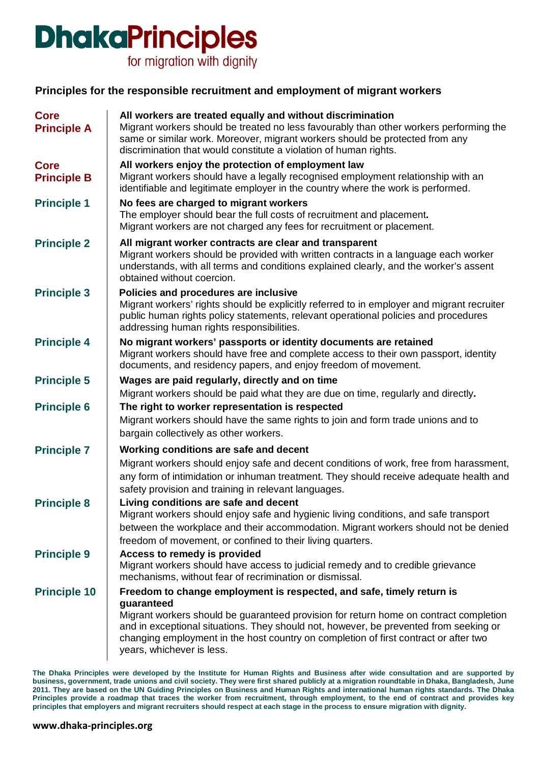for migration with dignity

### **Principles for the responsible recruitment and employment of migrant workers**

| <b>Core</b><br><b>Principle A</b> | All workers are treated equally and without discrimination<br>Migrant workers should be treated no less favourably than other workers performing the<br>same or similar work. Moreover, migrant workers should be protected from any<br>discrimination that would constitute a violation of human rights.                                                                                  |
|-----------------------------------|--------------------------------------------------------------------------------------------------------------------------------------------------------------------------------------------------------------------------------------------------------------------------------------------------------------------------------------------------------------------------------------------|
| <b>Core</b><br><b>Principle B</b> | All workers enjoy the protection of employment law<br>Migrant workers should have a legally recognised employment relationship with an<br>identifiable and legitimate employer in the country where the work is performed.                                                                                                                                                                 |
| <b>Principle 1</b>                | No fees are charged to migrant workers<br>The employer should bear the full costs of recruitment and placement.<br>Migrant workers are not charged any fees for recruitment or placement.                                                                                                                                                                                                  |
| <b>Principle 2</b>                | All migrant worker contracts are clear and transparent<br>Migrant workers should be provided with written contracts in a language each worker<br>understands, with all terms and conditions explained clearly, and the worker's assent<br>obtained without coercion.                                                                                                                       |
| <b>Principle 3</b>                | Policies and procedures are inclusive<br>Migrant workers' rights should be explicitly referred to in employer and migrant recruiter<br>public human rights policy statements, relevant operational policies and procedures<br>addressing human rights responsibilities.                                                                                                                    |
| <b>Principle 4</b>                | No migrant workers' passports or identity documents are retained<br>Migrant workers should have free and complete access to their own passport, identity<br>documents, and residency papers, and enjoy freedom of movement.                                                                                                                                                                |
| <b>Principle 5</b>                | Wages are paid regularly, directly and on time<br>Migrant workers should be paid what they are due on time, regularly and directly.                                                                                                                                                                                                                                                        |
| <b>Principle 6</b>                | The right to worker representation is respected<br>Migrant workers should have the same rights to join and form trade unions and to<br>bargain collectively as other workers.                                                                                                                                                                                                              |
| <b>Principle 7</b>                | Working conditions are safe and decent<br>Migrant workers should enjoy safe and decent conditions of work, free from harassment,<br>any form of intimidation or inhuman treatment. They should receive adequate health and<br>safety provision and training in relevant languages.                                                                                                         |
| <b>Principle 8</b>                | Living conditions are safe and decent<br>Migrant workers should enjoy safe and hygienic living conditions, and safe transport<br>between the workplace and their accommodation. Migrant workers should not be denied<br>freedom of movement, or confined to their living quarters.                                                                                                         |
| <b>Principle 9</b>                | Access to remedy is provided<br>Migrant workers should have access to judicial remedy and to credible grievance<br>mechanisms, without fear of recrimination or dismissal.                                                                                                                                                                                                                 |
| <b>Principle 10</b>               | Freedom to change employment is respected, and safe, timely return is<br>guaranteed<br>Migrant workers should be guaranteed provision for return home on contract completion<br>and in exceptional situations. They should not, however, be prevented from seeking or<br>changing employment in the host country on completion of first contract or after two<br>years, whichever is less. |

**The Dhaka Principles were developed by the Institute for Human Rights and Business after wide consultation and are supported by business, government, trade unions and civil society. They were first shared publicly at a migration roundtable in Dhaka, Bangladesh, June 2011. They are based on the UN Guiding Principles on Business and Human Rights and international human rights standards. The Dhaka Principles provide a roadmap that traces the worker from recruitment, through employment, to the end of contract and provides key principles that employers and migrant recruiters should respect at each stage in the process to ensure migration with dignity.**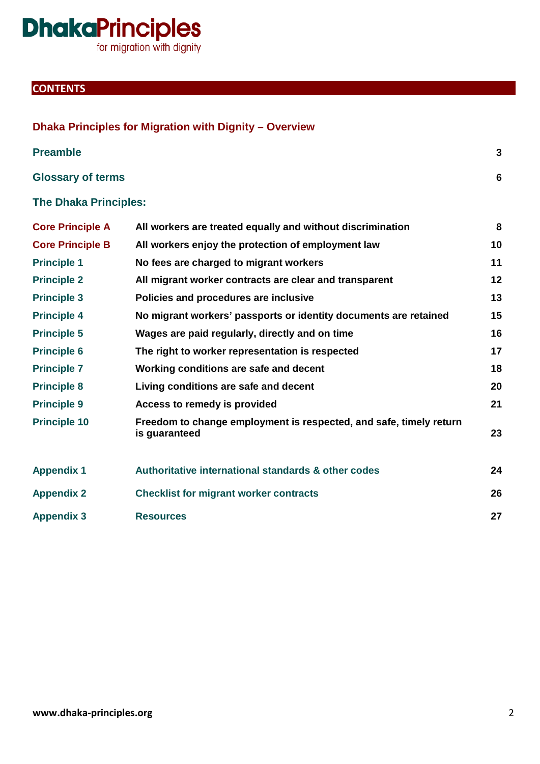for migration with dignity

**Dhaka Principles for Migration with Dignity – Overview**

### **CONTENTS**

| <b>Preamble</b>              |                                                                                     | $\overline{3}$ |
|------------------------------|-------------------------------------------------------------------------------------|----------------|
| <b>Glossary of terms</b>     |                                                                                     | 6              |
| <b>The Dhaka Principles:</b> |                                                                                     |                |
| <b>Core Principle A</b>      | All workers are treated equally and without discrimination                          | 8              |
| <b>Core Principle B</b>      | All workers enjoy the protection of employment law                                  | 10             |
| <b>Principle 1</b>           | No fees are charged to migrant workers                                              | 11             |
| <b>Principle 2</b>           | All migrant worker contracts are clear and transparent                              | 12             |
| <b>Principle 3</b>           | Policies and procedures are inclusive                                               | 13             |
| <b>Principle 4</b>           | No migrant workers' passports or identity documents are retained                    | 15             |
| <b>Principle 5</b>           | Wages are paid regularly, directly and on time                                      | 16             |
| <b>Principle 6</b>           | The right to worker representation is respected                                     | 17             |
| <b>Principle 7</b>           | Working conditions are safe and decent                                              | 18             |
| <b>Principle 8</b>           | Living conditions are safe and decent                                               | 20             |
| <b>Principle 9</b>           | Access to remedy is provided                                                        | 21             |
| <b>Principle 10</b>          | Freedom to change employment is respected, and safe, timely return<br>is guaranteed | 23             |
| <b>Appendix 1</b>            | Authoritative international standards & other codes                                 | 24             |
| <b>Appendix 2</b>            | <b>Checklist for migrant worker contracts</b>                                       | 26             |
| <b>Appendix 3</b>            | <b>Resources</b>                                                                    | 27             |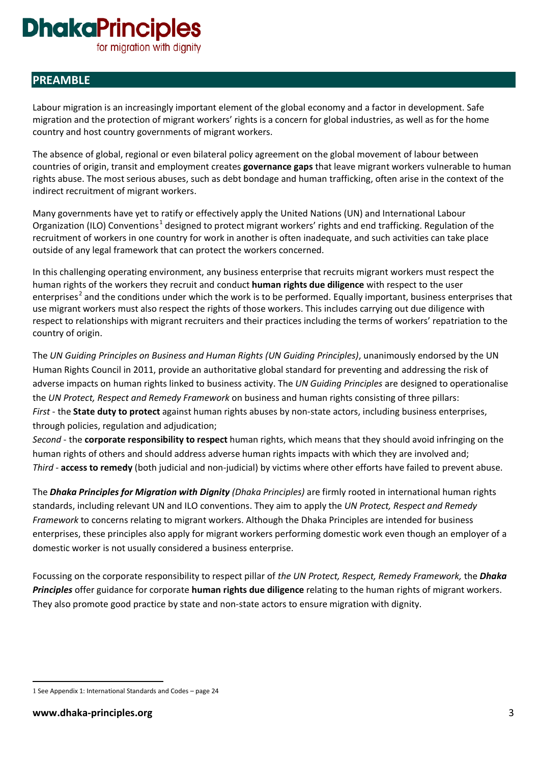for migration with dignity

### **PREAMBLE**

Labour migration is an increasingly important element of the global economy and a factor in development. Safe migration and the protection of migrant workers' rights is a concern for global industries, as well as for the home country and host country governments of migrant workers.

The absence of global, regional or even bilateral policy agreement on the global movement of labour between countries of origin, transit and employment creates **governance gaps** that leave migrant workers vulnerable to human rights abuse. The most serious abuses, such as debt bondage and human trafficking, often arise in the context of the indirect recruitment of migrant workers.

Many governments have yet to ratify or effectively apply the United Nations (UN) and International Labour Organization (ILO) Conventions<sup>[1](#page-2-0)</sup> designed to protect migrant workers' rights and end trafficking. Regulation of the recruitment of workers in one country for work in another is often inadequate, and such activities can take place outside of any legal framework that can protect the workers concerned.

In this challenging operating environment, any business enterprise that recruits migrant workers must respect the human rights of the workers they recruit and conduct **human rights due diligence** with respect to the user enterprises<sup>[2](#page-2-1)</sup> and the conditions under which the work is to be performed. Equally important, business enterprises that use migrant workers must also respect the rights of those workers. This includes carrying out due diligence with respect to relationships with migrant recruiters and their practices including the terms of workers' repatriation to the country of origin.

The *UN Guiding Principles on Business and Human Rights (UN Guiding Principles)*, unanimously endorsed by the UN Human Rights Council in 2011, provide an authoritative global standard for preventing and addressing the risk of adverse impacts on human rights linked to business activity. The *UN Guiding Principles* are designed to operationalise the *UN Protect, Respect and Remedy Framework* on business and human rights consisting of three pillars: *First* - the **State duty to protect** against human rights abuses by non-state actors, including business enterprises, through policies, regulation and adjudication;

*Second* - the **corporate responsibility to respect** human rights, which means that they should avoid infringing on the human rights of others and should address adverse human rights impacts with which they are involved and; *Third* - **access to remedy** (both judicial and non-judicial) by victims where other efforts have failed to prevent abuse.

The *Dhaka Principles for Migration with Dignity (Dhaka Principles)* are firmly rooted in international human rights standards, including relevant UN and ILO conventions. They aim to apply the *UN Protect, Respect and Remedy Framework* to concerns relating to migrant workers. Although the Dhaka Principles are intended for business enterprises, these principles also apply for migrant workers performing domestic work even though an employer of a domestic worker is not usually considered a business enterprise.

Focussing on the corporate responsibility to respect pillar of *the UN Protect, Respect, Remedy Framework,* the *Dhaka Principles* offer guidance for corporate **human rights due diligence** relating to the human rights of migrant workers. They also promote good practice by state and non-state actors to ensure migration with dignity.

<span id="page-2-1"></span><span id="page-2-0"></span><sup>-</sup>1 See Appendix 1: International Standards and Codes – page 24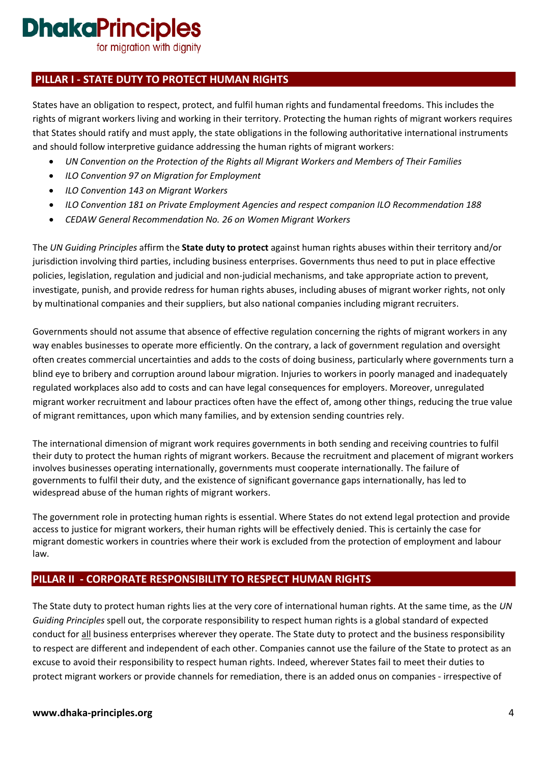for migration with dignity

### **PILLAR I - STATE DUTY TO PROTECT HUMAN RIGHTS**

States have an obligation to respect, protect, and fulfil human rights and fundamental freedoms. This includes the rights of migrant workers living and working in their territory. Protecting the human rights of migrant workers requires that States should ratify and must apply, the state obligations in the following authoritative international instruments and should follow interpretive guidance addressing the human rights of migrant workers:

- *UN Convention on the Protection of the Rights all Migrant Workers and Members of Their Families*
- *ILO Convention 97 on Migration for Employment*
- *ILO Convention 143 on Migrant Workers*
- *ILO Convention 181 on Private Employment Agencies and respect companion ILO Recommendation 188*
- *CEDAW General Recommendation No. 26 on Women Migrant Workers*

The *UN Guiding Principles* affirm the **State duty to protect** against human rights abuses within their territory and/or jurisdiction involving third parties, including business enterprises. Governments thus need to put in place effective policies, legislation, regulation and judicial and non-judicial mechanisms, and take appropriate action to prevent, investigate, punish, and provide redress for human rights abuses, including abuses of migrant worker rights, not only by multinational companies and their suppliers, but also national companies including migrant recruiters.

Governments should not assume that absence of effective regulation concerning the rights of migrant workers in any way enables businesses to operate more efficiently. On the contrary, a lack of government regulation and oversight often creates commercial uncertainties and adds to the costs of doing business, particularly where governments turn a blind eye to bribery and corruption around labour migration. Injuries to workers in poorly managed and inadequately regulated workplaces also add to costs and can have legal consequences for employers. Moreover, unregulated migrant worker recruitment and labour practices often have the effect of, among other things, reducing the true value of migrant remittances, upon which many families, and by extension sending countries rely.

The international dimension of migrant work requires governments in both sending and receiving countries to fulfil their duty to protect the human rights of migrant workers. Because the recruitment and placement of migrant workers involves businesses operating internationally, governments must cooperate internationally. The failure of governments to fulfil their duty, and the existence of significant governance gaps internationally, has led to widespread abuse of the human rights of migrant workers.

The government role in protecting human rights is essential. Where States do not extend legal protection and provide access to justice for migrant workers, their human rights will be effectively denied. This is certainly the case for migrant domestic workers in countries where their work is excluded from the protection of employment and labour law.

### **PILLAR II - CORPORATE RESPONSIBILITY TO RESPECT HUMAN RIGHTS**

The State duty to protect human rights lies at the very core of international human rights. At the same time, as the *UN Guiding Principles* spell out, the corporate responsibility to respect human rights is a global standard of expected conduct for all business enterprises wherever they operate. The State duty to protect and the business responsibility to respect are different and independent of each other. Companies cannot use the failure of the State to protect as an excuse to avoid their responsibility to respect human rights. Indeed, wherever States fail to meet their duties to protect migrant workers or provide channels for remediation, there is an added onus on companies - irrespective of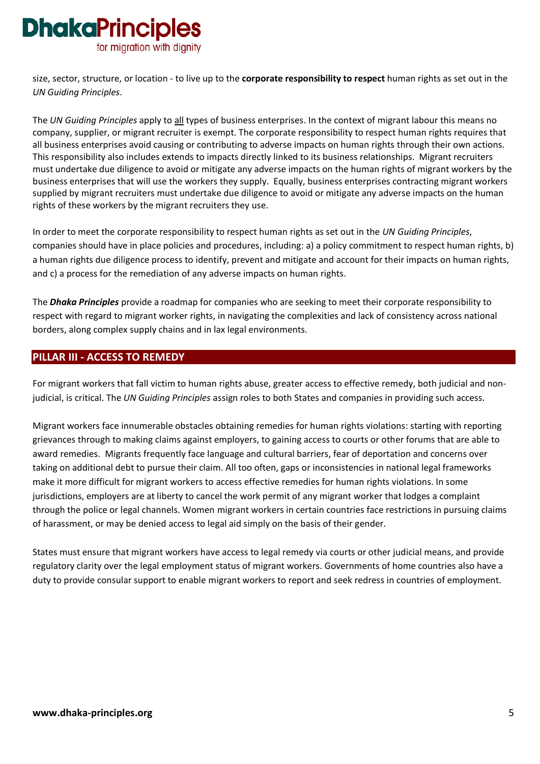

size, sector, structure, or location - to live up to the **corporate responsibility to respect** human rights as set out in the *UN Guiding Principles*.

The *UN Guiding Principles* apply to all types of business enterprises. In the context of migrant labour this means no company, supplier, or migrant recruiter is exempt. The corporate responsibility to respect human rights requires that all business enterprises avoid causing or contributing to adverse impacts on human rights through their own actions. This responsibility also includes extends to impacts directly linked to its business relationships. Migrant recruiters must undertake due diligence to avoid or mitigate any adverse impacts on the human rights of migrant workers by the business enterprises that will use the workers they supply. Equally, business enterprises contracting migrant workers supplied by migrant recruiters must undertake due diligence to avoid or mitigate any adverse impacts on the human rights of these workers by the migrant recruiters they use.

In order to meet the corporate responsibility to respect human rights as set out in the *UN Guiding Principles*, companies should have in place policies and procedures, including: a) a policy commitment to respect human rights, b) a human rights due diligence process to identify, prevent and mitigate and account for their impacts on human rights, and c) a process for the remediation of any adverse impacts on human rights.

The *Dhaka Principles* provide a roadmap for companies who are seeking to meet their corporate responsibility to respect with regard to migrant worker rights, in navigating the complexities and lack of consistency across national borders, along complex supply chains and in lax legal environments.

#### **PILLAR III - ACCESS TO REMEDY**

For migrant workers that fall victim to human rights abuse, greater access to effective remedy, both judicial and nonjudicial, is critical. The *UN Guiding Principles* assign roles to both States and companies in providing such access.

Migrant workers face innumerable obstacles obtaining remedies for human rights violations: starting with reporting grievances through to making claims against employers, to gaining access to courts or other forums that are able to award remedies. Migrants frequently face language and cultural barriers, fear of deportation and concerns over taking on additional debt to pursue their claim. All too often, gaps or inconsistencies in national legal frameworks make it more difficult for migrant workers to access effective remedies for human rights violations. In some jurisdictions, employers are at liberty to cancel the work permit of any migrant worker that lodges a complaint through the police or legal channels. Women migrant workers in certain countries face restrictions in pursuing claims of harassment, or may be denied access to legal aid simply on the basis of their gender.

States must ensure that migrant workers have access to legal remedy via courts or other judicial means, and provide regulatory clarity over the legal employment status of migrant workers. Governments of home countries also have a duty to provide consular support to enable migrant workers to report and seek redress in countries of employment.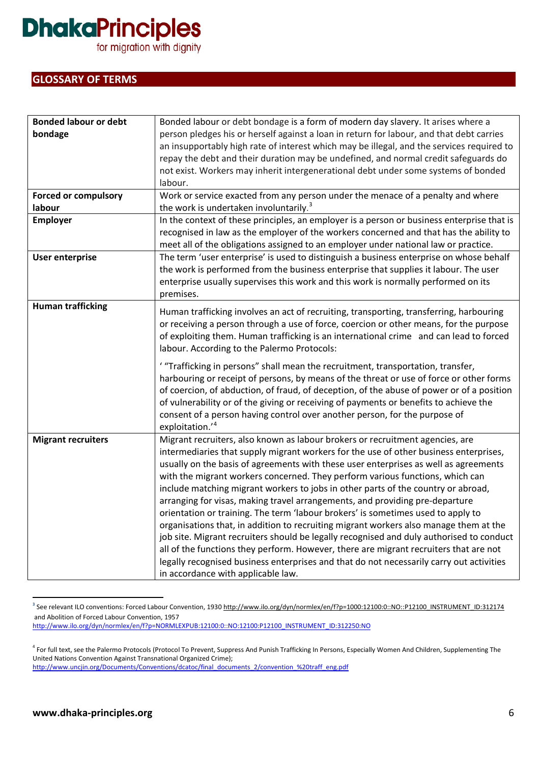for migration with dignity

#### **GLOSSARY OF TERMS**

| <b>Bonded labour or debt</b> | Bonded labour or debt bondage is a form of modern day slavery. It arises where a           |
|------------------------------|--------------------------------------------------------------------------------------------|
| bondage                      | person pledges his or herself against a loan in return for labour, and that debt carries   |
|                              | an insupportably high rate of interest which may be illegal, and the services required to  |
|                              | repay the debt and their duration may be undefined, and normal credit safeguards do        |
|                              | not exist. Workers may inherit intergenerational debt under some systems of bonded         |
|                              | labour.                                                                                    |
| <b>Forced or compulsory</b>  | Work or service exacted from any person under the menace of a penalty and where            |
| labour                       | the work is undertaken involuntarily. <sup>3</sup>                                         |
| <b>Employer</b>              | In the context of these principles, an employer is a person or business enterprise that is |
|                              | recognised in law as the employer of the workers concerned and that has the ability to     |
|                              | meet all of the obligations assigned to an employer under national law or practice.        |
| <b>User enterprise</b>       | The term 'user enterprise' is used to distinguish a business enterprise on whose behalf    |
|                              | the work is performed from the business enterprise that supplies it labour. The user       |
|                              | enterprise usually supervises this work and this work is normally performed on its         |
|                              | premises.                                                                                  |
| <b>Human trafficking</b>     | Human trafficking involves an act of recruiting, transporting, transferring, harbouring    |
|                              | or receiving a person through a use of force, coercion or other means, for the purpose     |
|                              | of exploiting them. Human trafficking is an international crime and can lead to forced     |
|                              | labour. According to the Palermo Protocols:                                                |
|                              |                                                                                            |
|                              | "Trafficking in persons" shall mean the recruitment, transportation, transfer,             |
|                              | harbouring or receipt of persons, by means of the threat or use of force or other forms    |
|                              | of coercion, of abduction, of fraud, of deception, of the abuse of power or of a position  |
|                              | of vulnerability or of the giving or receiving of payments or benefits to achieve the      |
|                              | consent of a person having control over another person, for the purpose of                 |
|                              | exploitation.' <sup>4</sup>                                                                |
| <b>Migrant recruiters</b>    | Migrant recruiters, also known as labour brokers or recruitment agencies, are              |
|                              | intermediaries that supply migrant workers for the use of other business enterprises,      |
|                              | usually on the basis of agreements with these user enterprises as well as agreements       |
|                              | with the migrant workers concerned. They perform various functions, which can              |
|                              | include matching migrant workers to jobs in other parts of the country or abroad,          |
|                              | arranging for visas, making travel arrangements, and providing pre-departure               |
|                              | orientation or training. The term 'labour brokers' is sometimes used to apply to           |
|                              | organisations that, in addition to recruiting migrant workers also manage them at the      |
|                              | job site. Migrant recruiters should be legally recognised and duly authorised to conduct   |
|                              | all of the functions they perform. However, there are migrant recruiters that are not      |
|                              | legally recognised business enterprises and that do not necessarily carry out activities   |
|                              | in accordance with applicable law.                                                         |

<span id="page-5-0"></span><sup>&</sup>lt;sup>3</sup> See relevant ILO conventions: Forced Labour Convention, 193[0 http://www.ilo.org/dyn/normlex/en/f?p=1000:12100:0::NO::P12100\\_INSTRUMENT\\_ID:312174](http://www.ilo.org/dyn/normlex/en/f?p=1000:12100:0::NO::P12100_INSTRUMENT_ID:312174) and Abolition of Forced Labour Convention, 1957 [http://www.ilo.org/dyn/normlex/en/f?p=NORMLEXPUB:12100:0::NO:12100:P12100\\_INSTRUMENT\\_ID:312250:NO](http://www.ilo.org/dyn/normlex/en/f?p=NORMLEXPUB:12100:0::NO:12100:P12100_INSTRUMENT_ID:312250:NO)

[http://www.uncjin.org/Documents/Conventions/dcatoc/final\\_documents\\_2/convention\\_%20traff\\_eng.pdf](http://www.uncjin.org/Documents/Conventions/dcatoc/final_documents_2/convention_%20traff_eng.pdf)

<span id="page-5-1"></span><sup>&</sup>lt;sup>4</sup> For full text, see the Palermo Protocols (Protocol To Prevent, Suppress And Punish Trafficking In Persons, Especially Women And Children, Supplementing The United Nations Convention Against Transnational Organized Crime);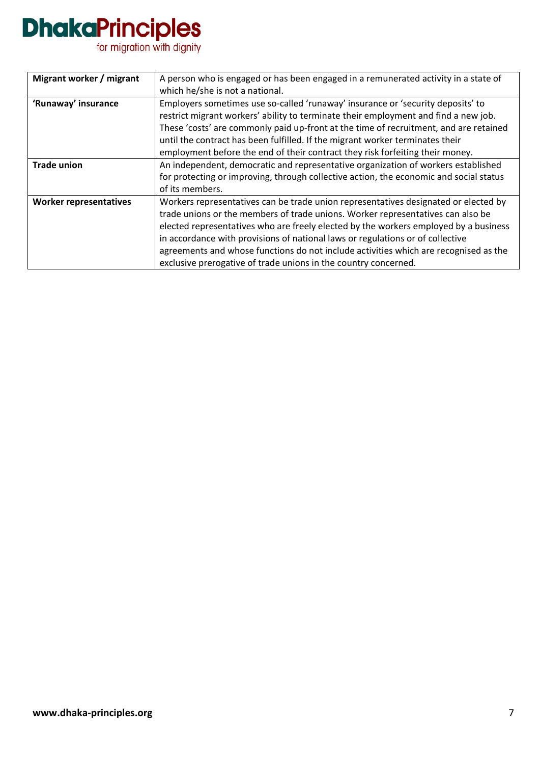# **DhakaPrinciples**<br>for migration with dignity

| Migrant worker / migrant      | A person who is engaged or has been engaged in a remunerated activity in a state of<br>which he/she is not a national.                                                                                                                                                                                                                                                                                                                                                                                      |
|-------------------------------|-------------------------------------------------------------------------------------------------------------------------------------------------------------------------------------------------------------------------------------------------------------------------------------------------------------------------------------------------------------------------------------------------------------------------------------------------------------------------------------------------------------|
| 'Runaway' insurance           | Employers sometimes use so-called 'runaway' insurance or 'security deposits' to<br>restrict migrant workers' ability to terminate their employment and find a new job.<br>These 'costs' are commonly paid up-front at the time of recruitment, and are retained<br>until the contract has been fulfilled. If the migrant worker terminates their<br>employment before the end of their contract they risk forfeiting their money.                                                                           |
| <b>Trade union</b>            | An independent, democratic and representative organization of workers established<br>for protecting or improving, through collective action, the economic and social status<br>of its members.                                                                                                                                                                                                                                                                                                              |
| <b>Worker representatives</b> | Workers representatives can be trade union representatives designated or elected by<br>trade unions or the members of trade unions. Worker representatives can also be<br>elected representatives who are freely elected by the workers employed by a business<br>in accordance with provisions of national laws or regulations or of collective<br>agreements and whose functions do not include activities which are recognised as the<br>exclusive prerogative of trade unions in the country concerned. |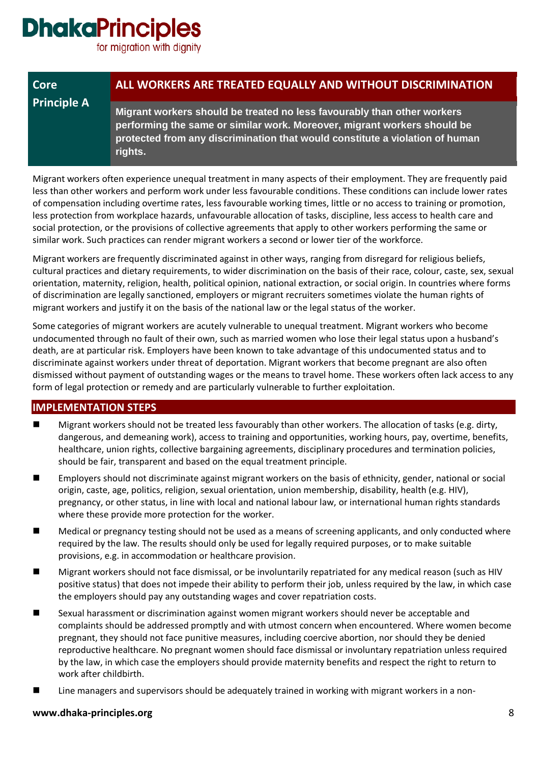for migration with dignity

| <b>Core</b>        | ALL WORKERS ARE TREATED EQUALLY AND WITHOUT DISCRIMINATION                                                                                                                                                                                     |
|--------------------|------------------------------------------------------------------------------------------------------------------------------------------------------------------------------------------------------------------------------------------------|
| <b>Principle A</b> | Migrant workers should be treated no less favourably than other workers<br>performing the same or similar work. Moreover, migrant workers should be<br>protected from any discrimination that would constitute a violation of human<br>rights. |

Migrant workers often experience unequal treatment in many aspects of their employment. They are frequently paid less than other workers and perform work under less favourable conditions. These conditions can include lower rates of compensation including overtime rates, less favourable working times, little or no access to training or promotion, less protection from workplace hazards, unfavourable allocation of tasks, discipline, less access to health care and social protection, or the provisions of collective agreements that apply to other workers performing the same or similar work. Such practices can render migrant workers a second or lower tier of the workforce.

Migrant workers are frequently discriminated against in other ways, ranging from disregard for religious beliefs, cultural practices and dietary requirements, to wider discrimination on the basis of their race, colour, caste, sex, sexual orientation, maternity, religion, health, political opinion, national extraction, or social origin. In countries where forms of discrimination are legally sanctioned, employers or migrant recruiters sometimes violate the human rights of migrant workers and justify it on the basis of the national law or the legal status of the worker.

Some categories of migrant workers are acutely vulnerable to unequal treatment. Migrant workers who become undocumented through no fault of their own, such as married women who lose their legal status upon a husband's death, are at particular risk. Employers have been known to take advantage of this undocumented status and to discriminate against workers under threat of deportation. Migrant workers that become pregnant are also often dismissed without payment of outstanding wages or the means to travel home. These workers often lack access to any form of legal protection or remedy and are particularly vulnerable to further exploitation.

#### **IMPLEMENTATION STEPS**

- Migrant workers should not be treated less favourably than other workers. The allocation of tasks (e.g. dirty, dangerous, and demeaning work), access to training and opportunities, working hours, pay, overtime, benefits, healthcare, union rights, collective bargaining agreements, disciplinary procedures and termination policies, should be fair, transparent and based on the equal treatment principle.
- Employers should not discriminate against migrant workers on the basis of ethnicity, gender, national or social origin, caste, age, politics, religion, sexual orientation, union membership, disability, health (e.g. HIV), pregnancy, or other status, in line with local and national labour law, or international human rights standards where these provide more protection for the worker.
- Medical or pregnancy testing should not be used as a means of screening applicants, and only conducted where required by the law. The results should only be used for legally required purposes, or to make suitable provisions, e.g. in accommodation or healthcare provision.
- Migrant workers should not face dismissal, or be involuntarily repatriated for any medical reason (such as HIV positive status) that does not impede their ability to perform their job, unless required by the law, in which case the employers should pay any outstanding wages and cover repatriation costs.
- Sexual harassment or discrimination against women migrant workers should never be acceptable and complaints should be addressed promptly and with utmost concern when encountered. Where women become pregnant, they should not face punitive measures, including coercive abortion, nor should they be denied reproductive healthcare. No pregnant women should face dismissal or involuntary repatriation unless required by the law, in which case the employers should provide maternity benefits and respect the right to return to work after childbirth.
- Line managers and supervisors should be adequately trained in working with migrant workers in a non-

#### **www.dhaka-principles.org** 8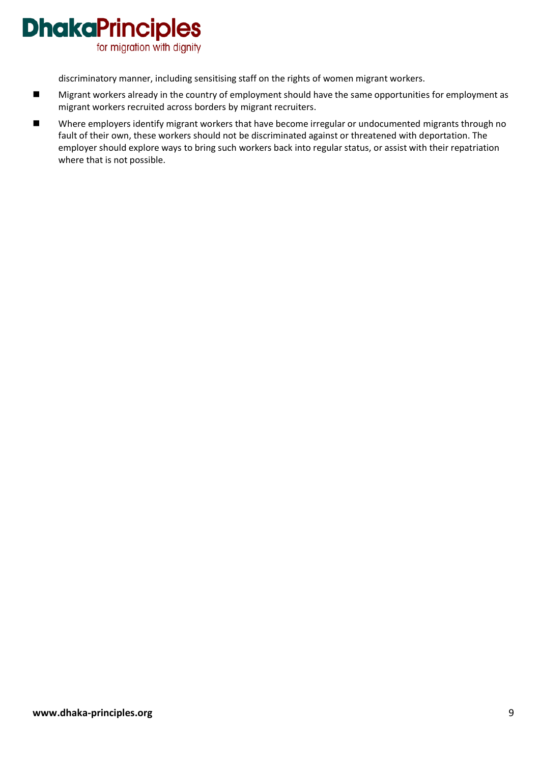

discriminatory manner, including sensitising staff on the rights of women migrant workers.

- Migrant workers already in the country of employment should have the same opportunities for employment as migrant workers recruited across borders by migrant recruiters.
- Where employers identify migrant workers that have become irregular or undocumented migrants through no fault of their own, these workers should not be discriminated against or threatened with deportation. The employer should explore ways to bring such workers back into regular status, or assist with their repatriation where that is not possible.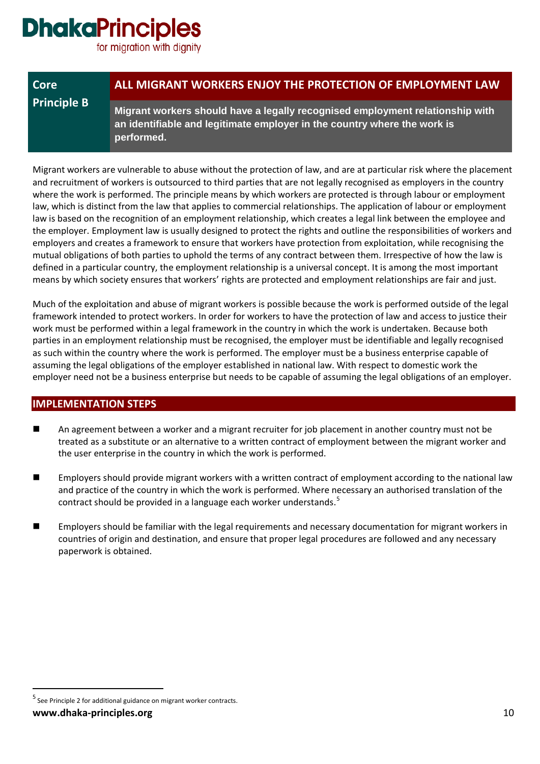for migration with dignity

| Core               | ALL MIGRANT WORKERS ENJOY THE PROTECTION OF EMPLOYMENT LAW                                                                                                              |
|--------------------|-------------------------------------------------------------------------------------------------------------------------------------------------------------------------|
| <b>Principle B</b> | Migrant workers should have a legally recognised employment relationship with<br>an identifiable and legitimate employer in the country where the work is<br>performed. |

Migrant workers are vulnerable to abuse without the protection of law, and are at particular risk where the placement and recruitment of workers is outsourced to third parties that are not legally recognised as employers in the country where the work is performed. The principle means by which workers are protected is through labour or employment law, which is distinct from the law that applies to commercial relationships. The application of labour or employment law is based on the recognition of an employment relationship, which creates a legal link between the employee and the employer. Employment law is usually designed to protect the rights and outline the responsibilities of workers and employers and creates a framework to ensure that workers have protection from exploitation, while recognising the mutual obligations of both parties to uphold the terms of any contract between them. Irrespective of how the law is defined in a particular country, the employment relationship is a universal concept. It is among the most important means by which society ensures that workers' rights are protected and employment relationships are fair and just.

Much of the exploitation and abuse of migrant workers is possible because the work is performed outside of the legal framework intended to protect workers. In order for workers to have the protection of law and access to justice their work must be performed within a legal framework in the country in which the work is undertaken. Because both parties in an employment relationship must be recognised, the employer must be identifiable and legally recognised as such within the country where the work is performed. The employer must be a business enterprise capable of assuming the legal obligations of the employer established in national law. With respect to domestic work the employer need not be a business enterprise but needs to be capable of assuming the legal obligations of an employer.

#### **IMPLEMENTATION STEPS**

- An agreement between a worker and a migrant recruiter for job placement in another country must not be treated as a substitute or an alternative to a written contract of employment between the migrant worker and the user enterprise in the country in which the work is performed.
- **Employers should provide migrant workers with a written contract of employment according to the national law** and practice of the country in which the work is performed. Where necessary an authorised translation of the contract should be provided in a language each worker understands.<sup>[5](#page-9-0)</sup>
- Employers should be familiar with the legal requirements and necessary documentation for migrant workers in countries of origin and destination, and ensure that proper legal procedures are followed and any necessary paperwork is obtained.

**www.dhaka-principles.org** 10

<span id="page-9-0"></span> $<sup>5</sup>$  See Principle 2 for additional guidance on migrant worker contracts.</sup>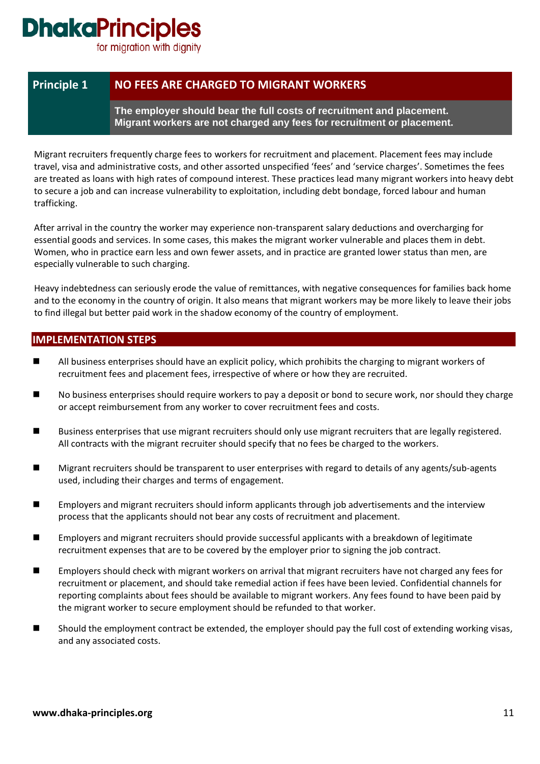for migration with dignity

### **Principle 1 NO FEES ARE CHARGED TO MIGRANT WORKERS**

**The employer should bear the full costs of recruitment and placement. Migrant workers are not charged any fees for recruitment or placement.** 

Migrant recruiters frequently charge fees to workers for recruitment and placement. Placement fees may include travel, visa and administrative costs, and other assorted unspecified 'fees' and 'service charges'. Sometimes the fees are treated as loans with high rates of compound interest. These practices lead many migrant workers into heavy debt to secure a job and can increase vulnerability to exploitation, including debt bondage, forced labour and human trafficking.

After arrival in the country the worker may experience non-transparent salary deductions and overcharging for essential goods and services. In some cases, this makes the migrant worker vulnerable and places them in debt. Women, who in practice earn less and own fewer assets, and in practice are granted lower status than men, are especially vulnerable to such charging.

Heavy indebtedness can seriously erode the value of remittances, with negative consequences for families back home and to the economy in the country of origin. It also means that migrant workers may be more likely to leave their jobs to find illegal but better paid work in the shadow economy of the country of employment.

- **All business enterprises should have an explicit policy, which prohibits the charging to migrant workers of** recruitment fees and placement fees, irrespective of where or how they are recruited.
- No business enterprises should require workers to pay a deposit or bond to secure work, nor should they charge or accept reimbursement from any worker to cover recruitment fees and costs.
- **Business enterprises that use migrant recruiters should only use migrant recruiters that are legally registered.** All contracts with the migrant recruiter should specify that no fees be charged to the workers.
- Migrant recruiters should be transparent to user enterprises with regard to details of any agents/sub-agents used, including their charges and terms of engagement.
- **EMP** Employers and migrant recruiters should inform applicants through job advertisements and the interview process that the applicants should not bear any costs of recruitment and placement.
- Employers and migrant recruiters should provide successful applicants with a breakdown of legitimate recruitment expenses that are to be covered by the employer prior to signing the job contract.
- **Employers should check with migrant workers on arrival that migrant recruiters have not charged any fees for** recruitment or placement, and should take remedial action if fees have been levied. Confidential channels for reporting complaints about fees should be available to migrant workers. Any fees found to have been paid by the migrant worker to secure employment should be refunded to that worker.
- Should the employment contract be extended, the employer should pay the full cost of extending working visas, and any associated costs.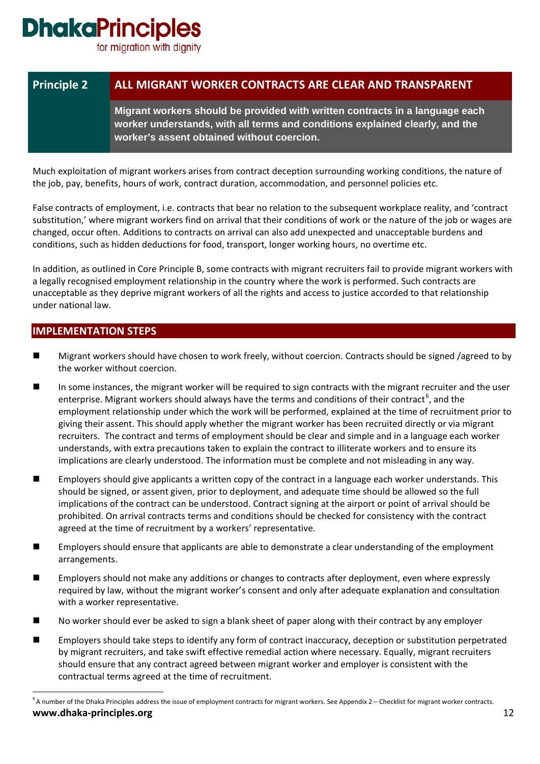for migration with dignity

### **Principle 2 ALL MIGRANT WORKER CONTRACTS ARE CLEAR AND TRANSPARENT**

**Migrant workers should be provided with written contracts in a language each worker understands, with all terms and conditions explained clearly, and the worker's assent obtained without coercion.**

Much exploitation of migrant workers arises from contract deception surrounding working conditions, the nature of the job, pay, benefits, hours of work, contract duration, accommodation, and personnel policies etc.

False contracts of employment, i.e. contracts that bear no relation to the subsequent workplace reality, and 'contract substitution,' where migrant workers find on arrival that their conditions of work or the nature of the job or wages are changed, occur often. Additions to contracts on arrival can also add unexpected and unacceptable burdens and conditions, such as hidden deductions for food, transport, longer working hours, no overtime etc.

In addition, as outlined in Core Principle B, some contracts with migrant recruiters fail to provide migrant workers with a legally recognised employment relationship in the country where the work is performed. Such contracts are unacceptable as they deprive migrant workers of all the rights and access to justice accorded to that relationship under national law.

- Migrant workers should have chosen to work freely, without coercion. Contracts should be signed /agreed to by the worker without coercion.
- In some instances, the migrant worker will be required to sign contracts with the migrant recruiter and the user enterprise. Migrant workers should always have the terms and conditions of their contract<sup>[6](#page-11-0)</sup>, and the employment relationship under which the work will be performed, explained at the time of recruitment prior to giving their assent. This should apply whether the migrant worker has been recruited directly or via migrant recruiters. The contract and terms of employment should be clear and simple and in a language each worker understands, with extra precautions taken to explain the contract to illiterate workers and to ensure its implications are clearly understood. The information must be complete and not misleading in any way.
- **Employers should give applicants a written copy of the contract in a language each worker understands. This** should be signed, or assent given, prior to deployment, and adequate time should be allowed so the full implications of the contract can be understood. Contract signing at the airport or point of arrival should be prohibited. On arrival contracts terms and conditions should be checked for consistency with the contract agreed at the time of recruitment by a workers' representative.
- Employers should ensure that applicants are able to demonstrate a clear understanding of the employment arrangements.
- Employers should not make any additions or changes to contracts after deployment, even where expressly required by law, without the migrant worker's consent and only after adequate explanation and consultation with a worker representative.
- No worker should ever be asked to sign a blank sheet of paper along with their contract by any employer
- Employers should take steps to identify any form of contract inaccuracy, deception or substitution perpetrated by migrant recruiters, and take swift effective remedial action where necessary. Equally, migrant recruiters should ensure that any contract agreed between migrant worker and employer is consistent with the contractual terms agreed at the time of recruitment.

<span id="page-11-0"></span>**www.dhaka-principles.org** 12 -<br>6  $6$  A number of the Dhaka Principles address the issue of employment contracts for migrant workers. See Appendix 2 – Checklist for migrant worker contracts.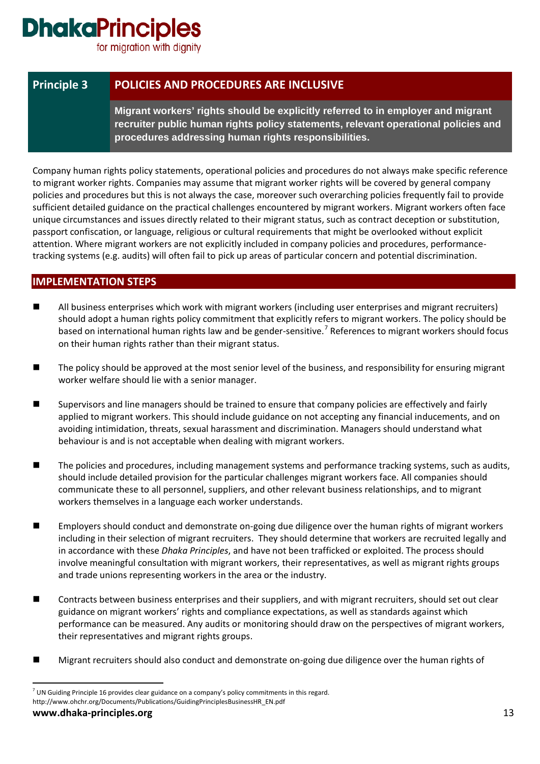for migration with dignity

### **Principle 3 POLICIES AND PROCEDURES ARE INCLUSIVE**

**Migrant workers' rights should be explicitly referred to in employer and migrant recruiter public human rights policy statements, relevant operational policies and procedures addressing human rights responsibilities.**

Company human rights policy statements, operational policies and procedures do not always make specific reference to migrant worker rights. Companies may assume that migrant worker rights will be covered by general company policies and procedures but this is not always the case, moreover such overarching policies frequently fail to provide sufficient detailed guidance on the practical challenges encountered by migrant workers. Migrant workers often face unique circumstances and issues directly related to their migrant status, such as contract deception or substitution, passport confiscation, or language, religious or cultural requirements that might be overlooked without explicit attention. Where migrant workers are not explicitly included in company policies and procedures, performancetracking systems (e.g. audits) will often fail to pick up areas of particular concern and potential discrimination.

- All business enterprises which work with migrant workers (including user enterprises and migrant recruiters) should adopt a human rights policy commitment that explicitly refers to migrant workers. The policy should be based on international human rights law and be gender-sensitive.<sup>[7](#page-12-0)</sup> References to migrant workers should focus on their human rights rather than their migrant status.
- The policy should be approved at the most senior level of the business, and responsibility for ensuring migrant worker welfare should lie with a senior manager.
- Supervisors and line managers should be trained to ensure that company policies are effectively and fairly applied to migrant workers. This should include guidance on not accepting any financial inducements, and on avoiding intimidation, threats, sexual harassment and discrimination. Managers should understand what behaviour is and is not acceptable when dealing with migrant workers.
- The policies and procedures, including management systems and performance tracking systems, such as audits, should include detailed provision for the particular challenges migrant workers face. All companies should communicate these to all personnel, suppliers, and other relevant business relationships, and to migrant workers themselves in a language each worker understands.
- **EMP** Employers should conduct and demonstrate on-going due diligence over the human rights of migrant workers including in their selection of migrant recruiters. They should determine that workers are recruited legally and in accordance with these *Dhaka Principles*, and have not been trafficked or exploited. The process should involve meaningful consultation with migrant workers, their representatives, as well as migrant rights groups and trade unions representing workers in the area or the industry.
- Contracts between business enterprises and their suppliers, and with migrant recruiters, should set out clear guidance on migrant workers' rights and compliance expectations, as well as standards against which performance can be measured. Any audits or monitoring should draw on the perspectives of migrant workers, their representatives and migrant rights groups.
- Migrant recruiters should also conduct and demonstrate on-going due diligence over the human rights of

<span id="page-12-0"></span><sup>&</sup>lt;sup>7</sup> UN Guiding Principle 16 provides clear guidance on a company's policy commitments in this regard. http://www.ohchr.org/Documents/Publications/GuidingPrinciplesBusinessHR\_EN.pdf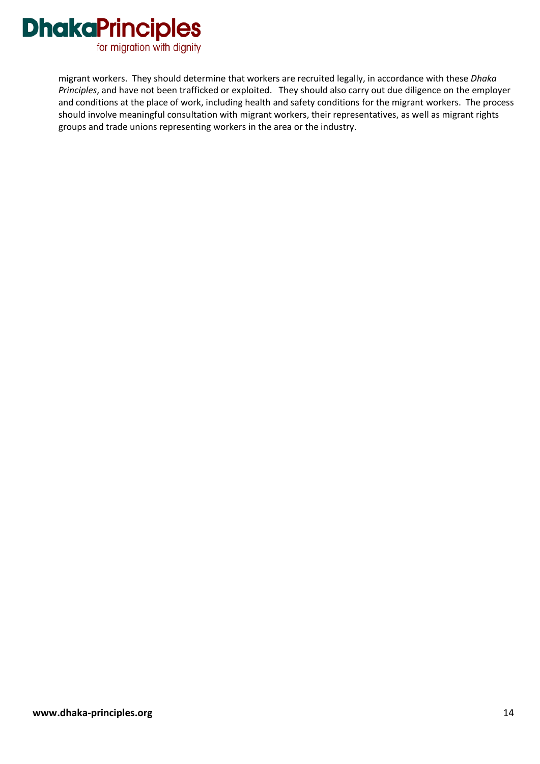

migrant workers. They should determine that workers are recruited legally, in accordance with these *Dhaka Principles*, and have not been trafficked or exploited. They should also carry out due diligence on the employer and conditions at the place of work, including health and safety conditions for the migrant workers. The process should involve meaningful consultation with migrant workers, their representatives, as well as migrant rights groups and trade unions representing workers in the area or the industry.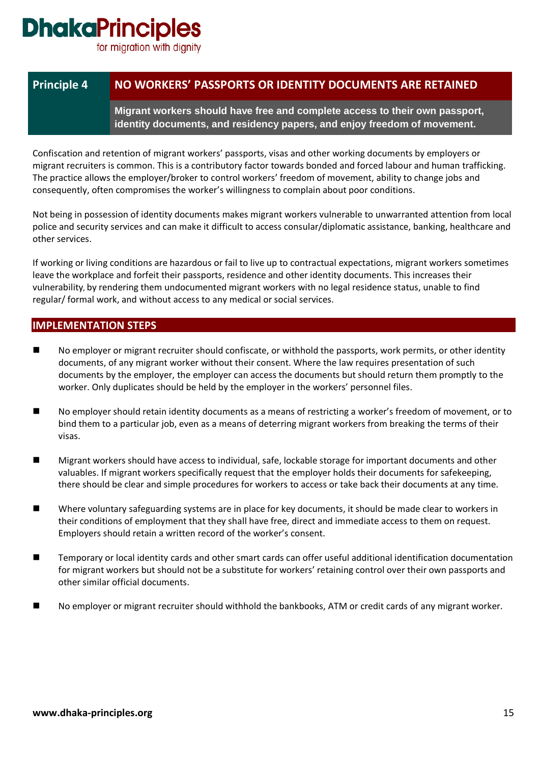for migration with dignity

### **Principle 4 NO WORKERS' PASSPORTS OR IDENTITY DOCUMENTS ARE RETAINED**

**Migrant workers should have free and complete access to their own passport, identity documents, and residency papers, and enjoy freedom of movement.**

Confiscation and retention of migrant workers' passports, visas and other working documents by employers or migrant recruiters is common. This is a contributory factor towards bonded and forced labour and human trafficking. The practice allows the employer/broker to control workers' freedom of movement, ability to change jobs and consequently, often compromises the worker's willingness to complain about poor conditions.

Not being in possession of identity documents makes migrant workers vulnerable to unwarranted attention from local police and security services and can make it difficult to access consular/diplomatic assistance, banking, healthcare and other services.

If working or living conditions are hazardous or fail to live up to contractual expectations, migrant workers sometimes leave the workplace and forfeit their passports, residence and other identity documents. This increases their vulnerability, by rendering them undocumented migrant workers with no legal residence status, unable to find regular/ formal work, and without access to any medical or social services.

- No employer or migrant recruiter should confiscate, or withhold the passports, work permits, or other identity documents, of any migrant worker without their consent. Where the law requires presentation of such documents by the employer, the employer can access the documents but should return them promptly to the worker. Only duplicates should be held by the employer in the workers' personnel files.
- No employer should retain identity documents as a means of restricting a worker's freedom of movement, or to bind them to a particular job, even as a means of deterring migrant workers from breaking the terms of their visas.
- Migrant workers should have access to individual, safe, lockable storage for important documents and other valuables. If migrant workers specifically request that the employer holds their documents for safekeeping, there should be clear and simple procedures for workers to access or take back their documents at any time.
- Where voluntary safeguarding systems are in place for key documents, it should be made clear to workers in their conditions of employment that they shall have free, direct and immediate access to them on request. Employers should retain a written record of the worker's consent.
- Temporary or local identity cards and other smart cards can offer useful additional identification documentation for migrant workers but should not be a substitute for workers' retaining control over their own passports and other similar official documents.
- No employer or migrant recruiter should withhold the bankbooks, ATM or credit cards of any migrant worker.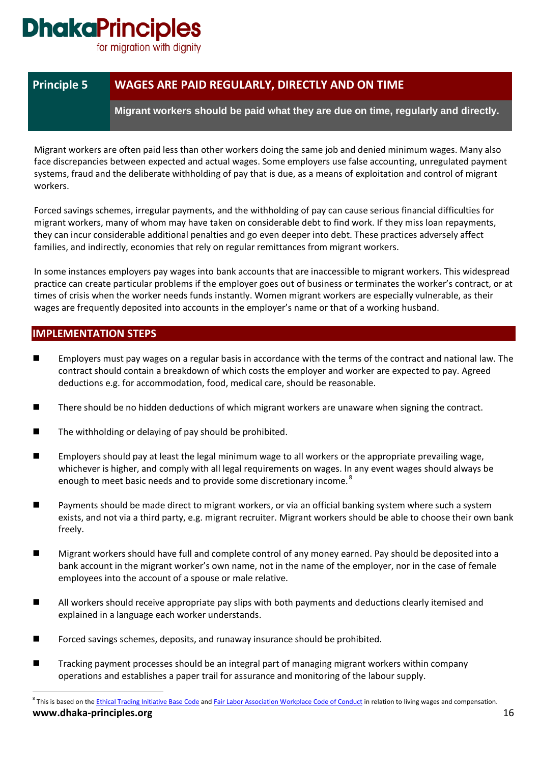for migration with dignity

### **Principle 5 WAGES ARE PAID REGULARLY, DIRECTLY AND ON TIME**

**Migrant workers should be paid what they are due on time, regularly and directly.**

Migrant workers are often paid less than other workers doing the same job and denied minimum wages. Many also face discrepancies between expected and actual wages. Some employers use false accounting, unregulated payment systems, fraud and the deliberate withholding of pay that is due, as a means of exploitation and control of migrant workers.

Forced savings schemes, irregular payments, and the withholding of pay can cause serious financial difficulties for migrant workers, many of whom may have taken on considerable debt to find work. If they miss loan repayments, they can incur considerable additional penalties and go even deeper into debt. These practices adversely affect families, and indirectly, economies that rely on regular remittances from migrant workers.

In some instances employers pay wages into bank accounts that are inaccessible to migrant workers. This widespread practice can create particular problems if the employer goes out of business or terminates the worker's contract, or at times of crisis when the worker needs funds instantly. Women migrant workers are especially vulnerable, as their wages are frequently deposited into accounts in the employer's name or that of a working husband.

- Employers must pay wages on a regular basis in accordance with the terms of the contract and national law. The contract should contain a breakdown of which costs the employer and worker are expected to pay. Agreed deductions e.g. for accommodation, food, medical care, should be reasonable.
- There should be no hidden deductions of which migrant workers are unaware when signing the contract.
- The withholding or delaying of pay should be prohibited.
- Employers should pay at least the legal minimum wage to all workers or the appropriate prevailing wage, whichever is higher, and comply with all legal requirements on wages. In any event wages should always be enough to meet basic needs and to provide some discretionary income.<sup>[8](#page-15-0)</sup>
- Payments should be made direct to migrant workers, or via an official banking system where such a system exists, and not via a third party, e.g. migrant recruiter. Migrant workers should be able to choose their own bank freely.
- Migrant workers should have full and complete control of any money earned. Pay should be deposited into a bank account in the migrant worker's own name, not in the name of the employer, nor in the case of female employees into the account of a spouse or male relative.
- All workers should receive appropriate pay slips with both payments and deductions clearly itemised and explained in a language each worker understands.
- Forced savings schemes, deposits, and runaway insurance should be prohibited.
- Tracking payment processes should be an integral part of managing migrant workers within company operations and establishes a paper trail for assurance and monitoring of the labour supply.
- <span id="page-15-0"></span>**www.dhaka-principles.org** 16 <sup>8</sup> This is based on the *Ethical Trading Initiative Base Code* and *Fair Labor Association Workplace Code of Conduct* in relation to living wages and compensation.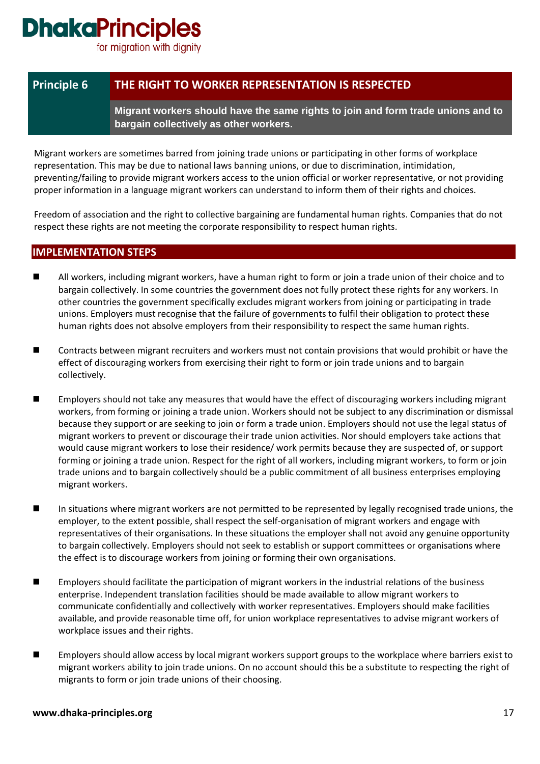for migration with dignity

### **Principle 6 THE RIGHT TO WORKER REPRESENTATION IS RESPECTED**

**Migrant workers should have the same rights to join and form trade unions and to bargain collectively as other workers.**

Migrant workers are sometimes barred from joining trade unions or participating in other forms of workplace representation. This may be due to national laws banning unions, or due to discrimination, intimidation, preventing/failing to provide migrant workers access to the union official or worker representative, or not providing proper information in a language migrant workers can understand to inform them of their rights and choices.

Freedom of association and the right to collective bargaining are fundamental human rights. Companies that do not respect these rights are not meeting the corporate responsibility to respect human rights.

- All workers, including migrant workers, have a human right to form or join a trade union of their choice and to bargain collectively. In some countries the government does not fully protect these rights for any workers. In other countries the government specifically excludes migrant workers from joining or participating in trade unions. Employers must recognise that the failure of governments to fulfil their obligation to protect these human rights does not absolve employers from their responsibility to respect the same human rights.
- Contracts between migrant recruiters and workers must not contain provisions that would prohibit or have the effect of discouraging workers from exercising their right to form or join trade unions and to bargain collectively.
- Employers should not take any measures that would have the effect of discouraging workers including migrant workers, from forming or joining a trade union. Workers should not be subject to any discrimination or dismissal because they support or are seeking to join or form a trade union. Employers should not use the legal status of migrant workers to prevent or discourage their trade union activities. Nor should employers take actions that would cause migrant workers to lose their residence/ work permits because they are suspected of, or support forming or joining a trade union. Respect for the right of all workers, including migrant workers, to form or join trade unions and to bargain collectively should be a public commitment of all business enterprises employing migrant workers.
- In situations where migrant workers are not permitted to be represented by legally recognised trade unions, the employer, to the extent possible, shall respect the self-organisation of migrant workers and engage with representatives of their organisations. In these situations the employer shall not avoid any genuine opportunity to bargain collectively. Employers should not seek to establish or support committees or organisations where the effect is to discourage workers from joining or forming their own organisations.
- **Employers should facilitate the participation of migrant workers in the industrial relations of the business** enterprise. Independent translation facilities should be made available to allow migrant workers to communicate confidentially and collectively with worker representatives. Employers should make facilities available, and provide reasonable time off, for union workplace representatives to advise migrant workers of workplace issues and their rights.
- Employers should allow access by local migrant workers support groups to the workplace where barriers exist to migrant workers ability to join trade unions. On no account should this be a substitute to respecting the right of migrants to form or join trade unions of their choosing.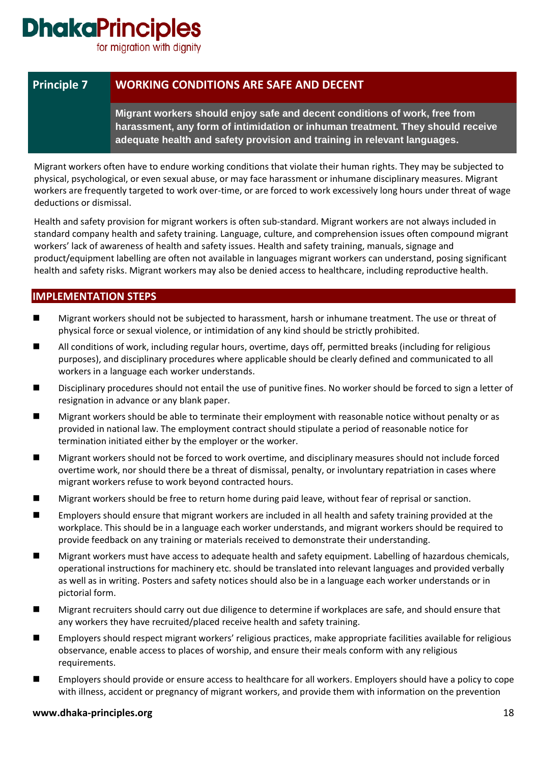for migration with dignity

### **Principle 7 WORKING CONDITIONS ARE SAFE AND DECENT**

**Migrant workers should enjoy safe and decent conditions of work, free from harassment, any form of intimidation or inhuman treatment. They should receive adequate health and safety provision and training in relevant languages.**

Migrant workers often have to endure working conditions that violate their human rights. They may be subjected to physical, psychological, or even sexual abuse, or may face harassment or inhumane disciplinary measures. Migrant workers are frequently targeted to work over-time, or are forced to work excessively long hours under threat of wage deductions or dismissal.

Health and safety provision for migrant workers is often sub-standard. Migrant workers are not always included in standard company health and safety training. Language, culture, and comprehension issues often compound migrant workers' lack of awareness of health and safety issues. Health and safety training, manuals, signage and product/equipment labelling are often not available in languages migrant workers can understand, posing significant health and safety risks. Migrant workers may also be denied access to healthcare, including reproductive health.

### **IMPLEMENTATION STEPS**

- Migrant workers should not be subjected to harassment, harsh or inhumane treatment. The use or threat of physical force or sexual violence, or intimidation of any kind should be strictly prohibited.
- All conditions of work, including regular hours, overtime, days off, permitted breaks (including for religious purposes), and disciplinary procedures where applicable should be clearly defined and communicated to all workers in a language each worker understands.
- Disciplinary procedures should not entail the use of punitive fines. No worker should be forced to sign a letter of resignation in advance or any blank paper.
- Migrant workers should be able to terminate their employment with reasonable notice without penalty or as provided in national law. The employment contract should stipulate a period of reasonable notice for termination initiated either by the employer or the worker.
- Migrant workers should not be forced to work overtime, and disciplinary measures should not include forced overtime work, nor should there be a threat of dismissal, penalty, or involuntary repatriation in cases where migrant workers refuse to work beyond contracted hours.
- Migrant workers should be free to return home during paid leave, without fear of reprisal or sanction.
- Employers should ensure that migrant workers are included in all health and safety training provided at the workplace. This should be in a language each worker understands, and migrant workers should be required to provide feedback on any training or materials received to demonstrate their understanding.
- Migrant workers must have access to adequate health and safety equipment. Labelling of hazardous chemicals, operational instructions for machinery etc. should be translated into relevant languages and provided verbally as well as in writing. Posters and safety notices should also be in a language each worker understands or in pictorial form.
- Migrant recruiters should carry out due diligence to determine if workplaces are safe, and should ensure that any workers they have recruited/placed receive health and safety training.
- Employers should respect migrant workers' religious practices, make appropriate facilities available for religious observance, enable access to places of worship, and ensure their meals conform with any religious requirements.
- Employers should provide or ensure access to healthcare for all workers. Employers should have a policy to cope with illness, accident or pregnancy of migrant workers, and provide them with information on the prevention

#### **www.dhaka-principles.org** 18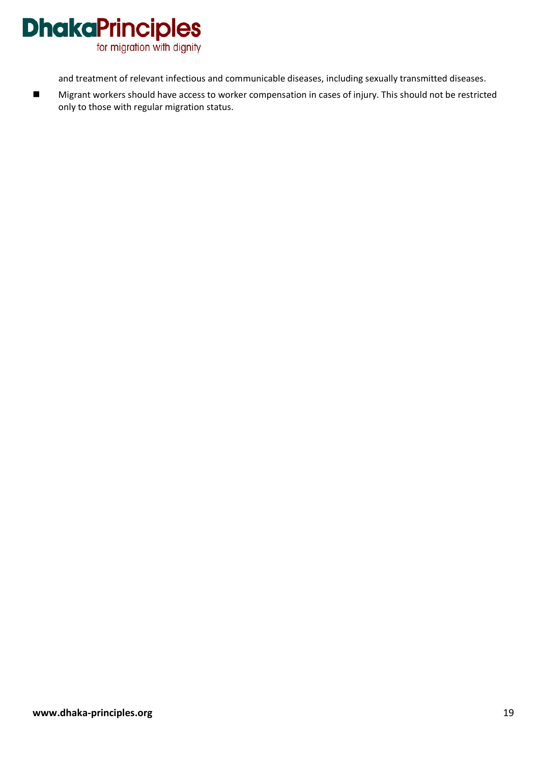

and treatment of relevant infectious and communicable diseases, including sexually transmitted diseases.

■ Migrant workers should have access to worker compensation in cases of injury. This should not be restricted only to those with regular migration status.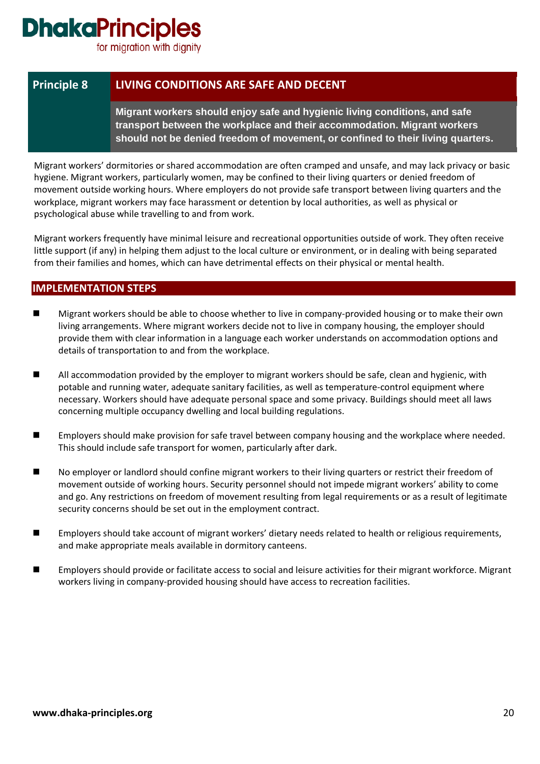for migration with dignity

### **Principle 8 LIVING CONDITIONS ARE SAFE AND DECENT**

**Migrant workers should enjoy safe and hygienic living conditions, and safe transport between the workplace and their accommodation. Migrant workers should not be denied freedom of movement, or confined to their living quarters.**

Migrant workers' dormitories or shared accommodation are often cramped and unsafe, and may lack privacy or basic hygiene. Migrant workers, particularly women, may be confined to their living quarters or denied freedom of movement outside working hours. Where employers do not provide safe transport between living quarters and the workplace, migrant workers may face harassment or detention by local authorities, as well as physical or psychological abuse while travelling to and from work.

Migrant workers frequently have minimal leisure and recreational opportunities outside of work. They often receive little support (if any) in helping them adjust to the local culture or environment, or in dealing with being separated from their families and homes, which can have detrimental effects on their physical or mental health.

- Migrant workers should be able to choose whether to live in company-provided housing or to make their own living arrangements. Where migrant workers decide not to live in company housing, the employer should provide them with clear information in a language each worker understands on accommodation options and details of transportation to and from the workplace.
- All accommodation provided by the employer to migrant workers should be safe, clean and hygienic, with potable and running water, adequate sanitary facilities, as well as temperature-control equipment where necessary. Workers should have adequate personal space and some privacy. Buildings should meet all laws concerning multiple occupancy dwelling and local building regulations.
- Employers should make provision for safe travel between company housing and the workplace where needed. This should include safe transport for women, particularly after dark.
- No employer or landlord should confine migrant workers to their living quarters or restrict their freedom of movement outside of working hours. Security personnel should not impede migrant workers' ability to come and go. Any restrictions on freedom of movement resulting from legal requirements or as a result of legitimate security concerns should be set out in the employment contract.
- Employers should take account of migrant workers' dietary needs related to health or religious requirements, and make appropriate meals available in dormitory canteens.
- **Employers should provide or facilitate access to social and leisure activities for their migrant workforce. Migrant** workers living in company-provided housing should have access to recreation facilities.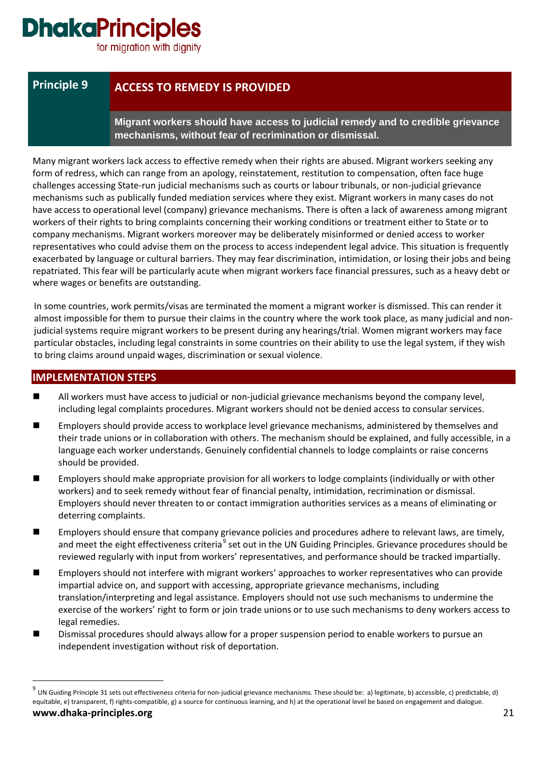for migration with dignity

### **Principle 9 ACCESS TO REMEDY IS PROVIDED**

**Migrant workers should have access to judicial remedy and to credible grievance mechanisms, without fear of recrimination or dismissal.**

Many migrant workers lack access to effective remedy when their rights are abused. Migrant workers seeking any form of redress, which can range from an apology, reinstatement, restitution to compensation, often face huge challenges accessing State-run judicial mechanisms such as courts or labour tribunals, or non-judicial grievance mechanisms such as publically funded mediation services where they exist. Migrant workers in many cases do not have access to operational level (company) grievance mechanisms. There is often a lack of awareness among migrant workers of their rights to bring complaints concerning their working conditions or treatment either to State or to company mechanisms. Migrant workers moreover may be deliberately misinformed or denied access to worker representatives who could advise them on the process to access independent legal advice. This situation is frequently exacerbated by language or cultural barriers. They may fear discrimination, intimidation, or losing their jobs and being repatriated. This fear will be particularly acute when migrant workers face financial pressures, such as a heavy debt or where wages or benefits are outstanding.

In some countries, work permits/visas are terminated the moment a migrant worker is dismissed. This can render it almost impossible for them to pursue their claims in the country where the work took place, as many judicial and nonjudicial systems require migrant workers to be present during any hearings/trial. Women migrant workers may face particular obstacles, including legal constraints in some countries on their ability to use the legal system, if they wish to bring claims around unpaid wages, discrimination or sexual violence.

- **All workers must have access to judicial or non-judicial grievance mechanisms beyond the company level,** including legal complaints procedures. Migrant workers should not be denied access to consular services.
- Employers should provide access to workplace level grievance mechanisms, administered by themselves and their trade unions or in collaboration with others. The mechanism should be explained, and fully accessible, in a language each worker understands. Genuinely confidential channels to lodge complaints or raise concerns should be provided.
- Employers should make appropriate provision for all workers to lodge complaints (individually or with other workers) and to seek remedy without fear of financial penalty, intimidation, recrimination or dismissal. Employers should never threaten to or contact immigration authorities services as a means of eliminating or deterring complaints.
- Employers should ensure that company grievance policies and procedures adhere to relevant laws, are timely, and meet the eight effectiveness criteria<sup>[9](#page-20-0)</sup> set out in the UN Guiding Principles. Grievance procedures should be reviewed regularly with input from workers' representatives, and performance should be tracked impartially.
- Employers should not interfere with migrant workers' approaches to worker representatives who can provide impartial advice on, and support with accessing, appropriate grievance mechanisms, including translation/interpreting and legal assistance. Employers should not use such mechanisms to undermine the exercise of the workers' right to form or join trade unions or to use such mechanisms to deny workers access to legal remedies.
- Dismissal procedures should always allow for a proper suspension period to enable workers to pursue an independent investigation without risk of deportation.

<span id="page-20-0"></span>**www.dhaka-principles.org** 21 <sup>9</sup> UN Guiding Principle 31 sets out effectiveness criteria for non-judicial grievance mechanisms. These should be: a) legitimate, b) accessible, c) predictable, d) equitable, e) transparent, f) rights-compatible, g) a source for continuous learning, and h) at the operational level be based on engagement and dialogue.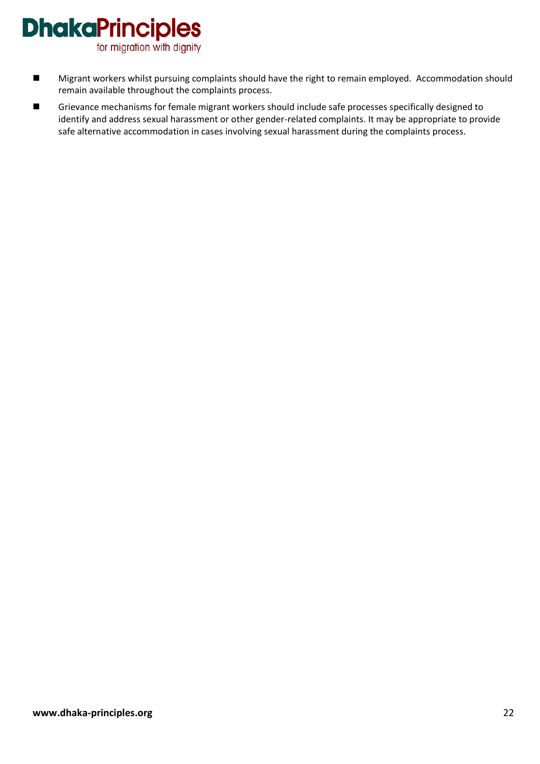for migration with dignity

- Migrant workers whilst pursuing complaints should have the right to remain employed. Accommodation should remain available throughout the complaints process.
- Grievance mechanisms for female migrant workers should include safe processes specifically designed to identify and address sexual harassment or other gender-related complaints. It may be appropriate to provide safe alternative accommodation in cases involving sexual harassment during the complaints process.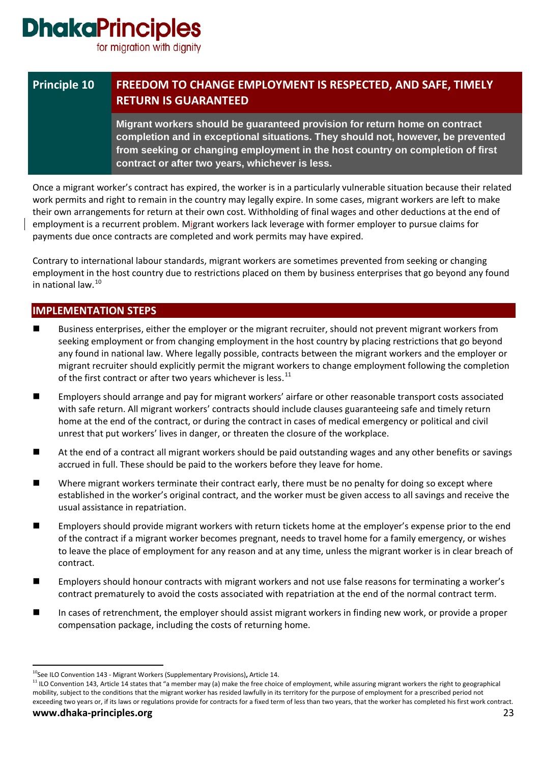for migration with dignity

### **Principle 10 FREEDOM TO CHANGE EMPLOYMENT IS RESPECTED, AND SAFE, TIMELY RETURN IS GUARANTEED**

**Migrant workers should be guaranteed provision for return home on contract completion and in exceptional situations. They should not, however, be prevented from seeking or changing employment in the host country on completion of first contract or after two years, whichever is less.** 

Once a migrant worker's contract has expired, the worker is in a particularly vulnerable situation because their related work permits and right to remain in the country may legally expire. In some cases, migrant workers are left to make their own arrangements for return at their own cost. Withholding of final wages and other deductions at the end of employment is a recurrent problem. Migrant workers lack leverage with former employer to pursue claims for payments due once contracts are completed and work permits may have expired.

Contrary to international labour standards, migrant workers are sometimes prevented from seeking or changing employment in the host country due to restrictions placed on them by business enterprises that go beyond any found in national law.[10](#page-22-0)

- Business enterprises, either the employer or the migrant recruiter, should not prevent migrant workers from seeking employment or from changing employment in the host country by placing restrictions that go beyond any found in national law. Where legally possible, contracts between the migrant workers and the employer or migrant recruiter should explicitly permit the migrant workers to change employment following the completion of the first contract or after two years whichever is less. $<sup>11</sup>$  $<sup>11</sup>$  $<sup>11</sup>$ </sup>
- Employers should arrange and pay for migrant workers' airfare or other reasonable transport costs associated with safe return. All migrant workers' contracts should include clauses guaranteeing safe and timely return home at the end of the contract, or during the contract in cases of medical emergency or political and civil unrest that put workers' lives in danger, or threaten the closure of the workplace.
- At the end of a contract all migrant workers should be paid outstanding wages and any other benefits or savings accrued in full. These should be paid to the workers before they leave for home.
- Where migrant workers terminate their contract early, there must be no penalty for doing so except where established in the worker's original contract, and the worker must be given access to all savings and receive the usual assistance in repatriation.
- Employers should provide migrant workers with return tickets home at the employer's expense prior to the end of the contract if a migrant worker becomes pregnant, needs to travel home for a family emergency, or wishes to leave the place of employment for any reason and at any time, unless the migrant worker is in clear breach of contract.
- Employers should honour contracts with migrant workers and not use false reasons for terminating a worker's contract prematurely to avoid the costs associated with repatriation at the end of the normal contract term.
- In cases of retrenchment, the employer should assist migrant workers in finding new work, or provide a proper compensation package, including the costs of returning home.

<span id="page-22-0"></span><sup>&</sup>lt;sup>10</sup>See ILO Convention 143 - [Migrant Workers \(Supplementary Provisions\)](http://www.ilo.org/ilolex/cgi-lex/convde.pl?C143), Article 14.

<span id="page-22-1"></span><sup>&</sup>lt;sup>11</sup> ILO Convention 143, Article 14 states that "a member may (a) make the free choice of employment, while assuring migrant workers the right to geographical mobility, subject to the conditions that the migrant worker has resided lawfully in its territory for the purpose of employment for a prescribed period not exceeding two years or, if its laws or regulations provide for contracts for a fixed term of less than two years, that the worker has completed his first work contract.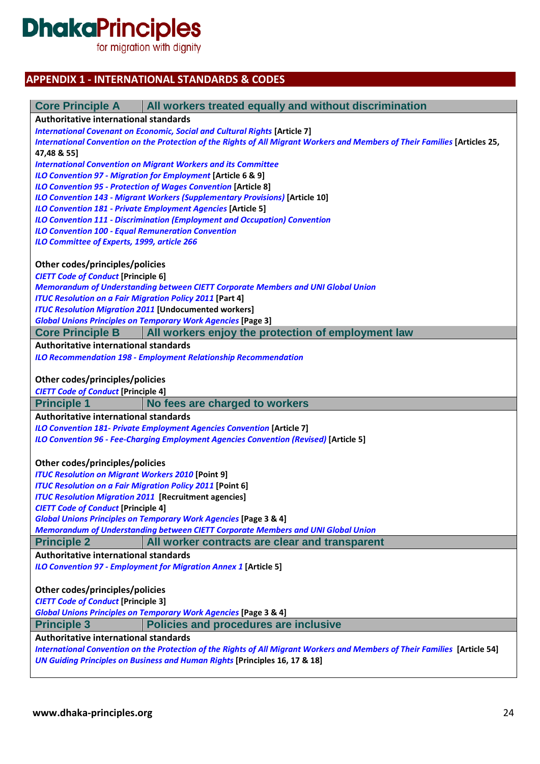# **DhakaPrinciples**<br>for migration with dignity

### **APPENDIX 1 - INTERNATIONAL STANDARDS & CODES**

| <b>Authoritative international standards</b><br><b>International Covenant on Economic, Social and Cultural Rights [Article 7]</b><br>International Convention on the Protection of the Rights of All Migrant Workers and Members of Their Families [Articles 25,<br>47,48 & 55]<br><b>International Convention on Migrant Workers and its Committee</b><br>ILO Convention 97 - Migration for Employment [Article 6 & 9]<br><b>ILO Convention 95 - Protection of Wages Convention [Article 8]</b><br><b>ILO Convention 143 - Migrant Workers (Supplementary Provisions) [Article 10]</b><br><b>ILO Convention 181 - Private Employment Agencies [Article 5]</b><br><b>ILO Convention 111 - Discrimination (Employment and Occupation) Convention</b><br><b>ILO Convention 100 - Equal Remuneration Convention</b><br>ILO Committee of Experts, 1999, article 266<br>Other codes/principles/policies<br><b>CIETT Code of Conduct [Principle 6]</b><br>Memorandum of Understanding between CIETT Corporate Members and UNI Global Union<br><b>ITUC Resolution on a Fair Migration Policy 2011 [Part 4]</b><br><b>ITUC Resolution Migration 2011 [Undocumented workers]</b><br><b>Global Unions Principles on Temporary Work Agencies [Page 3]</b><br>All workers enjoy the protection of employment law<br><b>Core Principle B</b><br>Authoritative international standards<br><b>ILO Recommendation 198 - Employment Relationship Recommendation</b><br>Other codes/principles/policies<br><b>CIETT Code of Conduct [Principle 4]</b><br>No fees are charged to workers<br><b>Principle 1</b><br><b>Authoritative international standards</b><br><b>ILO Convention 181- Private Employment Agencies Convention [Article 7]</b><br>ILO Convention 96 - Fee-Charging Employment Agencies Convention (Revised) [Article 5]<br>Other codes/principles/policies<br><b>ITUC Resolution on Migrant Workers 2010 [Point 9]</b><br><b>ITUC Resolution on a Fair Migration Policy 2011 [Point 6]</b><br><b>ITUC Resolution Migration 2011 [Recruitment agencies]</b><br><b>CIETT Code of Conduct [Principle 4]</b><br><b>Global Unions Principles on Temporary Work Agencies [Page 3 &amp; 4]</b><br>Memorandum of Understanding between CIETT Corporate Members and UNI Global Union<br><b>Principle 2</b><br>All worker contracts are clear and transparent<br><b>Authoritative international standards</b><br><b>ILO Convention 97 - Employment for Migration Annex 1 [Article 5]</b><br>Other codes/principles/policies<br><b>CIETT Code of Conduct [Principle 3]</b><br><b>Global Unions Principles on Temporary Work Agencies [Page 3 &amp; 4]</b><br><b>Principle 3</b><br><b>Policies and procedures are inclusive</b><br>Authoritative international standards<br>International Convention on the Protection of the Rights of All Migrant Workers and Members of Their Families [Article 54]<br><b>UN Guiding Principles on Business and Human Rights [Principles 16, 17 &amp; 18]</b> | All workers treated equally and without discrimination<br><b>Core Principle A</b> |  |
|-------------------------------------------------------------------------------------------------------------------------------------------------------------------------------------------------------------------------------------------------------------------------------------------------------------------------------------------------------------------------------------------------------------------------------------------------------------------------------------------------------------------------------------------------------------------------------------------------------------------------------------------------------------------------------------------------------------------------------------------------------------------------------------------------------------------------------------------------------------------------------------------------------------------------------------------------------------------------------------------------------------------------------------------------------------------------------------------------------------------------------------------------------------------------------------------------------------------------------------------------------------------------------------------------------------------------------------------------------------------------------------------------------------------------------------------------------------------------------------------------------------------------------------------------------------------------------------------------------------------------------------------------------------------------------------------------------------------------------------------------------------------------------------------------------------------------------------------------------------------------------------------------------------------------------------------------------------------------------------------------------------------------------------------------------------------------------------------------------------------------------------------------------------------------------------------------------------------------------------------------------------------------------------------------------------------------------------------------------------------------------------------------------------------------------------------------------------------------------------------------------------------------------------------------------------------------------------------------------------------------------------------------------------------------------------------------------------------------------------------------------------------------------------------------------------------------------------------------------------------------------------------------------------------------------------------------------------------------------------|-----------------------------------------------------------------------------------|--|
|                                                                                                                                                                                                                                                                                                                                                                                                                                                                                                                                                                                                                                                                                                                                                                                                                                                                                                                                                                                                                                                                                                                                                                                                                                                                                                                                                                                                                                                                                                                                                                                                                                                                                                                                                                                                                                                                                                                                                                                                                                                                                                                                                                                                                                                                                                                                                                                                                                                                                                                                                                                                                                                                                                                                                                                                                                                                                                                                                                                     |                                                                                   |  |
|                                                                                                                                                                                                                                                                                                                                                                                                                                                                                                                                                                                                                                                                                                                                                                                                                                                                                                                                                                                                                                                                                                                                                                                                                                                                                                                                                                                                                                                                                                                                                                                                                                                                                                                                                                                                                                                                                                                                                                                                                                                                                                                                                                                                                                                                                                                                                                                                                                                                                                                                                                                                                                                                                                                                                                                                                                                                                                                                                                                     |                                                                                   |  |
|                                                                                                                                                                                                                                                                                                                                                                                                                                                                                                                                                                                                                                                                                                                                                                                                                                                                                                                                                                                                                                                                                                                                                                                                                                                                                                                                                                                                                                                                                                                                                                                                                                                                                                                                                                                                                                                                                                                                                                                                                                                                                                                                                                                                                                                                                                                                                                                                                                                                                                                                                                                                                                                                                                                                                                                                                                                                                                                                                                                     |                                                                                   |  |
|                                                                                                                                                                                                                                                                                                                                                                                                                                                                                                                                                                                                                                                                                                                                                                                                                                                                                                                                                                                                                                                                                                                                                                                                                                                                                                                                                                                                                                                                                                                                                                                                                                                                                                                                                                                                                                                                                                                                                                                                                                                                                                                                                                                                                                                                                                                                                                                                                                                                                                                                                                                                                                                                                                                                                                                                                                                                                                                                                                                     |                                                                                   |  |
|                                                                                                                                                                                                                                                                                                                                                                                                                                                                                                                                                                                                                                                                                                                                                                                                                                                                                                                                                                                                                                                                                                                                                                                                                                                                                                                                                                                                                                                                                                                                                                                                                                                                                                                                                                                                                                                                                                                                                                                                                                                                                                                                                                                                                                                                                                                                                                                                                                                                                                                                                                                                                                                                                                                                                                                                                                                                                                                                                                                     |                                                                                   |  |
|                                                                                                                                                                                                                                                                                                                                                                                                                                                                                                                                                                                                                                                                                                                                                                                                                                                                                                                                                                                                                                                                                                                                                                                                                                                                                                                                                                                                                                                                                                                                                                                                                                                                                                                                                                                                                                                                                                                                                                                                                                                                                                                                                                                                                                                                                                                                                                                                                                                                                                                                                                                                                                                                                                                                                                                                                                                                                                                                                                                     |                                                                                   |  |
|                                                                                                                                                                                                                                                                                                                                                                                                                                                                                                                                                                                                                                                                                                                                                                                                                                                                                                                                                                                                                                                                                                                                                                                                                                                                                                                                                                                                                                                                                                                                                                                                                                                                                                                                                                                                                                                                                                                                                                                                                                                                                                                                                                                                                                                                                                                                                                                                                                                                                                                                                                                                                                                                                                                                                                                                                                                                                                                                                                                     |                                                                                   |  |
|                                                                                                                                                                                                                                                                                                                                                                                                                                                                                                                                                                                                                                                                                                                                                                                                                                                                                                                                                                                                                                                                                                                                                                                                                                                                                                                                                                                                                                                                                                                                                                                                                                                                                                                                                                                                                                                                                                                                                                                                                                                                                                                                                                                                                                                                                                                                                                                                                                                                                                                                                                                                                                                                                                                                                                                                                                                                                                                                                                                     |                                                                                   |  |
|                                                                                                                                                                                                                                                                                                                                                                                                                                                                                                                                                                                                                                                                                                                                                                                                                                                                                                                                                                                                                                                                                                                                                                                                                                                                                                                                                                                                                                                                                                                                                                                                                                                                                                                                                                                                                                                                                                                                                                                                                                                                                                                                                                                                                                                                                                                                                                                                                                                                                                                                                                                                                                                                                                                                                                                                                                                                                                                                                                                     |                                                                                   |  |
|                                                                                                                                                                                                                                                                                                                                                                                                                                                                                                                                                                                                                                                                                                                                                                                                                                                                                                                                                                                                                                                                                                                                                                                                                                                                                                                                                                                                                                                                                                                                                                                                                                                                                                                                                                                                                                                                                                                                                                                                                                                                                                                                                                                                                                                                                                                                                                                                                                                                                                                                                                                                                                                                                                                                                                                                                                                                                                                                                                                     |                                                                                   |  |
|                                                                                                                                                                                                                                                                                                                                                                                                                                                                                                                                                                                                                                                                                                                                                                                                                                                                                                                                                                                                                                                                                                                                                                                                                                                                                                                                                                                                                                                                                                                                                                                                                                                                                                                                                                                                                                                                                                                                                                                                                                                                                                                                                                                                                                                                                                                                                                                                                                                                                                                                                                                                                                                                                                                                                                                                                                                                                                                                                                                     |                                                                                   |  |
|                                                                                                                                                                                                                                                                                                                                                                                                                                                                                                                                                                                                                                                                                                                                                                                                                                                                                                                                                                                                                                                                                                                                                                                                                                                                                                                                                                                                                                                                                                                                                                                                                                                                                                                                                                                                                                                                                                                                                                                                                                                                                                                                                                                                                                                                                                                                                                                                                                                                                                                                                                                                                                                                                                                                                                                                                                                                                                                                                                                     |                                                                                   |  |
|                                                                                                                                                                                                                                                                                                                                                                                                                                                                                                                                                                                                                                                                                                                                                                                                                                                                                                                                                                                                                                                                                                                                                                                                                                                                                                                                                                                                                                                                                                                                                                                                                                                                                                                                                                                                                                                                                                                                                                                                                                                                                                                                                                                                                                                                                                                                                                                                                                                                                                                                                                                                                                                                                                                                                                                                                                                                                                                                                                                     |                                                                                   |  |
|                                                                                                                                                                                                                                                                                                                                                                                                                                                                                                                                                                                                                                                                                                                                                                                                                                                                                                                                                                                                                                                                                                                                                                                                                                                                                                                                                                                                                                                                                                                                                                                                                                                                                                                                                                                                                                                                                                                                                                                                                                                                                                                                                                                                                                                                                                                                                                                                                                                                                                                                                                                                                                                                                                                                                                                                                                                                                                                                                                                     |                                                                                   |  |
|                                                                                                                                                                                                                                                                                                                                                                                                                                                                                                                                                                                                                                                                                                                                                                                                                                                                                                                                                                                                                                                                                                                                                                                                                                                                                                                                                                                                                                                                                                                                                                                                                                                                                                                                                                                                                                                                                                                                                                                                                                                                                                                                                                                                                                                                                                                                                                                                                                                                                                                                                                                                                                                                                                                                                                                                                                                                                                                                                                                     |                                                                                   |  |
|                                                                                                                                                                                                                                                                                                                                                                                                                                                                                                                                                                                                                                                                                                                                                                                                                                                                                                                                                                                                                                                                                                                                                                                                                                                                                                                                                                                                                                                                                                                                                                                                                                                                                                                                                                                                                                                                                                                                                                                                                                                                                                                                                                                                                                                                                                                                                                                                                                                                                                                                                                                                                                                                                                                                                                                                                                                                                                                                                                                     |                                                                                   |  |
|                                                                                                                                                                                                                                                                                                                                                                                                                                                                                                                                                                                                                                                                                                                                                                                                                                                                                                                                                                                                                                                                                                                                                                                                                                                                                                                                                                                                                                                                                                                                                                                                                                                                                                                                                                                                                                                                                                                                                                                                                                                                                                                                                                                                                                                                                                                                                                                                                                                                                                                                                                                                                                                                                                                                                                                                                                                                                                                                                                                     |                                                                                   |  |
|                                                                                                                                                                                                                                                                                                                                                                                                                                                                                                                                                                                                                                                                                                                                                                                                                                                                                                                                                                                                                                                                                                                                                                                                                                                                                                                                                                                                                                                                                                                                                                                                                                                                                                                                                                                                                                                                                                                                                                                                                                                                                                                                                                                                                                                                                                                                                                                                                                                                                                                                                                                                                                                                                                                                                                                                                                                                                                                                                                                     |                                                                                   |  |
|                                                                                                                                                                                                                                                                                                                                                                                                                                                                                                                                                                                                                                                                                                                                                                                                                                                                                                                                                                                                                                                                                                                                                                                                                                                                                                                                                                                                                                                                                                                                                                                                                                                                                                                                                                                                                                                                                                                                                                                                                                                                                                                                                                                                                                                                                                                                                                                                                                                                                                                                                                                                                                                                                                                                                                                                                                                                                                                                                                                     |                                                                                   |  |
|                                                                                                                                                                                                                                                                                                                                                                                                                                                                                                                                                                                                                                                                                                                                                                                                                                                                                                                                                                                                                                                                                                                                                                                                                                                                                                                                                                                                                                                                                                                                                                                                                                                                                                                                                                                                                                                                                                                                                                                                                                                                                                                                                                                                                                                                                                                                                                                                                                                                                                                                                                                                                                                                                                                                                                                                                                                                                                                                                                                     |                                                                                   |  |
|                                                                                                                                                                                                                                                                                                                                                                                                                                                                                                                                                                                                                                                                                                                                                                                                                                                                                                                                                                                                                                                                                                                                                                                                                                                                                                                                                                                                                                                                                                                                                                                                                                                                                                                                                                                                                                                                                                                                                                                                                                                                                                                                                                                                                                                                                                                                                                                                                                                                                                                                                                                                                                                                                                                                                                                                                                                                                                                                                                                     |                                                                                   |  |
|                                                                                                                                                                                                                                                                                                                                                                                                                                                                                                                                                                                                                                                                                                                                                                                                                                                                                                                                                                                                                                                                                                                                                                                                                                                                                                                                                                                                                                                                                                                                                                                                                                                                                                                                                                                                                                                                                                                                                                                                                                                                                                                                                                                                                                                                                                                                                                                                                                                                                                                                                                                                                                                                                                                                                                                                                                                                                                                                                                                     |                                                                                   |  |
|                                                                                                                                                                                                                                                                                                                                                                                                                                                                                                                                                                                                                                                                                                                                                                                                                                                                                                                                                                                                                                                                                                                                                                                                                                                                                                                                                                                                                                                                                                                                                                                                                                                                                                                                                                                                                                                                                                                                                                                                                                                                                                                                                                                                                                                                                                                                                                                                                                                                                                                                                                                                                                                                                                                                                                                                                                                                                                                                                                                     |                                                                                   |  |
|                                                                                                                                                                                                                                                                                                                                                                                                                                                                                                                                                                                                                                                                                                                                                                                                                                                                                                                                                                                                                                                                                                                                                                                                                                                                                                                                                                                                                                                                                                                                                                                                                                                                                                                                                                                                                                                                                                                                                                                                                                                                                                                                                                                                                                                                                                                                                                                                                                                                                                                                                                                                                                                                                                                                                                                                                                                                                                                                                                                     |                                                                                   |  |
|                                                                                                                                                                                                                                                                                                                                                                                                                                                                                                                                                                                                                                                                                                                                                                                                                                                                                                                                                                                                                                                                                                                                                                                                                                                                                                                                                                                                                                                                                                                                                                                                                                                                                                                                                                                                                                                                                                                                                                                                                                                                                                                                                                                                                                                                                                                                                                                                                                                                                                                                                                                                                                                                                                                                                                                                                                                                                                                                                                                     |                                                                                   |  |
|                                                                                                                                                                                                                                                                                                                                                                                                                                                                                                                                                                                                                                                                                                                                                                                                                                                                                                                                                                                                                                                                                                                                                                                                                                                                                                                                                                                                                                                                                                                                                                                                                                                                                                                                                                                                                                                                                                                                                                                                                                                                                                                                                                                                                                                                                                                                                                                                                                                                                                                                                                                                                                                                                                                                                                                                                                                                                                                                                                                     |                                                                                   |  |
|                                                                                                                                                                                                                                                                                                                                                                                                                                                                                                                                                                                                                                                                                                                                                                                                                                                                                                                                                                                                                                                                                                                                                                                                                                                                                                                                                                                                                                                                                                                                                                                                                                                                                                                                                                                                                                                                                                                                                                                                                                                                                                                                                                                                                                                                                                                                                                                                                                                                                                                                                                                                                                                                                                                                                                                                                                                                                                                                                                                     |                                                                                   |  |
|                                                                                                                                                                                                                                                                                                                                                                                                                                                                                                                                                                                                                                                                                                                                                                                                                                                                                                                                                                                                                                                                                                                                                                                                                                                                                                                                                                                                                                                                                                                                                                                                                                                                                                                                                                                                                                                                                                                                                                                                                                                                                                                                                                                                                                                                                                                                                                                                                                                                                                                                                                                                                                                                                                                                                                                                                                                                                                                                                                                     |                                                                                   |  |
|                                                                                                                                                                                                                                                                                                                                                                                                                                                                                                                                                                                                                                                                                                                                                                                                                                                                                                                                                                                                                                                                                                                                                                                                                                                                                                                                                                                                                                                                                                                                                                                                                                                                                                                                                                                                                                                                                                                                                                                                                                                                                                                                                                                                                                                                                                                                                                                                                                                                                                                                                                                                                                                                                                                                                                                                                                                                                                                                                                                     |                                                                                   |  |
|                                                                                                                                                                                                                                                                                                                                                                                                                                                                                                                                                                                                                                                                                                                                                                                                                                                                                                                                                                                                                                                                                                                                                                                                                                                                                                                                                                                                                                                                                                                                                                                                                                                                                                                                                                                                                                                                                                                                                                                                                                                                                                                                                                                                                                                                                                                                                                                                                                                                                                                                                                                                                                                                                                                                                                                                                                                                                                                                                                                     |                                                                                   |  |
|                                                                                                                                                                                                                                                                                                                                                                                                                                                                                                                                                                                                                                                                                                                                                                                                                                                                                                                                                                                                                                                                                                                                                                                                                                                                                                                                                                                                                                                                                                                                                                                                                                                                                                                                                                                                                                                                                                                                                                                                                                                                                                                                                                                                                                                                                                                                                                                                                                                                                                                                                                                                                                                                                                                                                                                                                                                                                                                                                                                     |                                                                                   |  |
|                                                                                                                                                                                                                                                                                                                                                                                                                                                                                                                                                                                                                                                                                                                                                                                                                                                                                                                                                                                                                                                                                                                                                                                                                                                                                                                                                                                                                                                                                                                                                                                                                                                                                                                                                                                                                                                                                                                                                                                                                                                                                                                                                                                                                                                                                                                                                                                                                                                                                                                                                                                                                                                                                                                                                                                                                                                                                                                                                                                     |                                                                                   |  |
|                                                                                                                                                                                                                                                                                                                                                                                                                                                                                                                                                                                                                                                                                                                                                                                                                                                                                                                                                                                                                                                                                                                                                                                                                                                                                                                                                                                                                                                                                                                                                                                                                                                                                                                                                                                                                                                                                                                                                                                                                                                                                                                                                                                                                                                                                                                                                                                                                                                                                                                                                                                                                                                                                                                                                                                                                                                                                                                                                                                     |                                                                                   |  |
|                                                                                                                                                                                                                                                                                                                                                                                                                                                                                                                                                                                                                                                                                                                                                                                                                                                                                                                                                                                                                                                                                                                                                                                                                                                                                                                                                                                                                                                                                                                                                                                                                                                                                                                                                                                                                                                                                                                                                                                                                                                                                                                                                                                                                                                                                                                                                                                                                                                                                                                                                                                                                                                                                                                                                                                                                                                                                                                                                                                     |                                                                                   |  |
|                                                                                                                                                                                                                                                                                                                                                                                                                                                                                                                                                                                                                                                                                                                                                                                                                                                                                                                                                                                                                                                                                                                                                                                                                                                                                                                                                                                                                                                                                                                                                                                                                                                                                                                                                                                                                                                                                                                                                                                                                                                                                                                                                                                                                                                                                                                                                                                                                                                                                                                                                                                                                                                                                                                                                                                                                                                                                                                                                                                     |                                                                                   |  |
|                                                                                                                                                                                                                                                                                                                                                                                                                                                                                                                                                                                                                                                                                                                                                                                                                                                                                                                                                                                                                                                                                                                                                                                                                                                                                                                                                                                                                                                                                                                                                                                                                                                                                                                                                                                                                                                                                                                                                                                                                                                                                                                                                                                                                                                                                                                                                                                                                                                                                                                                                                                                                                                                                                                                                                                                                                                                                                                                                                                     |                                                                                   |  |
|                                                                                                                                                                                                                                                                                                                                                                                                                                                                                                                                                                                                                                                                                                                                                                                                                                                                                                                                                                                                                                                                                                                                                                                                                                                                                                                                                                                                                                                                                                                                                                                                                                                                                                                                                                                                                                                                                                                                                                                                                                                                                                                                                                                                                                                                                                                                                                                                                                                                                                                                                                                                                                                                                                                                                                                                                                                                                                                                                                                     |                                                                                   |  |
|                                                                                                                                                                                                                                                                                                                                                                                                                                                                                                                                                                                                                                                                                                                                                                                                                                                                                                                                                                                                                                                                                                                                                                                                                                                                                                                                                                                                                                                                                                                                                                                                                                                                                                                                                                                                                                                                                                                                                                                                                                                                                                                                                                                                                                                                                                                                                                                                                                                                                                                                                                                                                                                                                                                                                                                                                                                                                                                                                                                     |                                                                                   |  |
|                                                                                                                                                                                                                                                                                                                                                                                                                                                                                                                                                                                                                                                                                                                                                                                                                                                                                                                                                                                                                                                                                                                                                                                                                                                                                                                                                                                                                                                                                                                                                                                                                                                                                                                                                                                                                                                                                                                                                                                                                                                                                                                                                                                                                                                                                                                                                                                                                                                                                                                                                                                                                                                                                                                                                                                                                                                                                                                                                                                     |                                                                                   |  |
|                                                                                                                                                                                                                                                                                                                                                                                                                                                                                                                                                                                                                                                                                                                                                                                                                                                                                                                                                                                                                                                                                                                                                                                                                                                                                                                                                                                                                                                                                                                                                                                                                                                                                                                                                                                                                                                                                                                                                                                                                                                                                                                                                                                                                                                                                                                                                                                                                                                                                                                                                                                                                                                                                                                                                                                                                                                                                                                                                                                     |                                                                                   |  |
|                                                                                                                                                                                                                                                                                                                                                                                                                                                                                                                                                                                                                                                                                                                                                                                                                                                                                                                                                                                                                                                                                                                                                                                                                                                                                                                                                                                                                                                                                                                                                                                                                                                                                                                                                                                                                                                                                                                                                                                                                                                                                                                                                                                                                                                                                                                                                                                                                                                                                                                                                                                                                                                                                                                                                                                                                                                                                                                                                                                     |                                                                                   |  |
|                                                                                                                                                                                                                                                                                                                                                                                                                                                                                                                                                                                                                                                                                                                                                                                                                                                                                                                                                                                                                                                                                                                                                                                                                                                                                                                                                                                                                                                                                                                                                                                                                                                                                                                                                                                                                                                                                                                                                                                                                                                                                                                                                                                                                                                                                                                                                                                                                                                                                                                                                                                                                                                                                                                                                                                                                                                                                                                                                                                     |                                                                                   |  |
|                                                                                                                                                                                                                                                                                                                                                                                                                                                                                                                                                                                                                                                                                                                                                                                                                                                                                                                                                                                                                                                                                                                                                                                                                                                                                                                                                                                                                                                                                                                                                                                                                                                                                                                                                                                                                                                                                                                                                                                                                                                                                                                                                                                                                                                                                                                                                                                                                                                                                                                                                                                                                                                                                                                                                                                                                                                                                                                                                                                     |                                                                                   |  |
|                                                                                                                                                                                                                                                                                                                                                                                                                                                                                                                                                                                                                                                                                                                                                                                                                                                                                                                                                                                                                                                                                                                                                                                                                                                                                                                                                                                                                                                                                                                                                                                                                                                                                                                                                                                                                                                                                                                                                                                                                                                                                                                                                                                                                                                                                                                                                                                                                                                                                                                                                                                                                                                                                                                                                                                                                                                                                                                                                                                     |                                                                                   |  |
|                                                                                                                                                                                                                                                                                                                                                                                                                                                                                                                                                                                                                                                                                                                                                                                                                                                                                                                                                                                                                                                                                                                                                                                                                                                                                                                                                                                                                                                                                                                                                                                                                                                                                                                                                                                                                                                                                                                                                                                                                                                                                                                                                                                                                                                                                                                                                                                                                                                                                                                                                                                                                                                                                                                                                                                                                                                                                                                                                                                     |                                                                                   |  |
|                                                                                                                                                                                                                                                                                                                                                                                                                                                                                                                                                                                                                                                                                                                                                                                                                                                                                                                                                                                                                                                                                                                                                                                                                                                                                                                                                                                                                                                                                                                                                                                                                                                                                                                                                                                                                                                                                                                                                                                                                                                                                                                                                                                                                                                                                                                                                                                                                                                                                                                                                                                                                                                                                                                                                                                                                                                                                                                                                                                     |                                                                                   |  |
|                                                                                                                                                                                                                                                                                                                                                                                                                                                                                                                                                                                                                                                                                                                                                                                                                                                                                                                                                                                                                                                                                                                                                                                                                                                                                                                                                                                                                                                                                                                                                                                                                                                                                                                                                                                                                                                                                                                                                                                                                                                                                                                                                                                                                                                                                                                                                                                                                                                                                                                                                                                                                                                                                                                                                                                                                                                                                                                                                                                     |                                                                                   |  |
|                                                                                                                                                                                                                                                                                                                                                                                                                                                                                                                                                                                                                                                                                                                                                                                                                                                                                                                                                                                                                                                                                                                                                                                                                                                                                                                                                                                                                                                                                                                                                                                                                                                                                                                                                                                                                                                                                                                                                                                                                                                                                                                                                                                                                                                                                                                                                                                                                                                                                                                                                                                                                                                                                                                                                                                                                                                                                                                                                                                     |                                                                                   |  |
|                                                                                                                                                                                                                                                                                                                                                                                                                                                                                                                                                                                                                                                                                                                                                                                                                                                                                                                                                                                                                                                                                                                                                                                                                                                                                                                                                                                                                                                                                                                                                                                                                                                                                                                                                                                                                                                                                                                                                                                                                                                                                                                                                                                                                                                                                                                                                                                                                                                                                                                                                                                                                                                                                                                                                                                                                                                                                                                                                                                     |                                                                                   |  |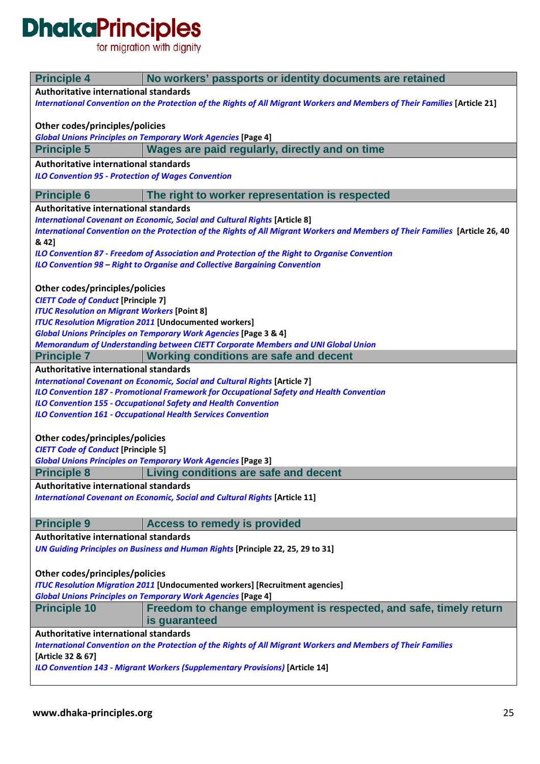# **DhakaPrinciples**<br>for migration with dignity

| <b>Principle 4</b>                                                                                            | No workers' passports or identity documents are retained                                                                      |
|---------------------------------------------------------------------------------------------------------------|-------------------------------------------------------------------------------------------------------------------------------|
| Authoritative international standards                                                                         |                                                                                                                               |
|                                                                                                               | International Convention on the Protection of the Rights of All Migrant Workers and Members of Their Families [Article 21]    |
| Other codes/principles/policies                                                                               |                                                                                                                               |
|                                                                                                               | <b>Global Unions Principles on Temporary Work Agencies [Page 4]</b>                                                           |
| <b>Principle 5</b>                                                                                            | Wages are paid regularly, directly and on time                                                                                |
| Authoritative international standards                                                                         |                                                                                                                               |
| <b>ILO Convention 95 - Protection of Wages Convention</b>                                                     |                                                                                                                               |
| <b>Principle 6</b>                                                                                            | The right to worker representation is respected                                                                               |
| Authoritative international standards                                                                         |                                                                                                                               |
|                                                                                                               | <b>International Covenant on Economic, Social and Cultural Rights [Article 8]</b>                                             |
|                                                                                                               | International Convention on the Protection of the Rights of All Migrant Workers and Members of Their Families [Article 26, 40 |
| & 42]                                                                                                         |                                                                                                                               |
|                                                                                                               | ILO Convention 87 - Freedom of Association and Protection of the Right to Organise Convention                                 |
|                                                                                                               | ILO Convention 98 - Right to Organise and Collective Bargaining Convention                                                    |
|                                                                                                               |                                                                                                                               |
| Other codes/principles/policies                                                                               |                                                                                                                               |
| <b>CIETT Code of Conduct [Principle 7]</b>                                                                    |                                                                                                                               |
| <b>ITUC Resolution on Migrant Workers [Point 8]</b>                                                           |                                                                                                                               |
|                                                                                                               | <b>ITUC Resolution Migration 2011 [Undocumented workers]</b>                                                                  |
|                                                                                                               | <b>Global Unions Principles on Temporary Work Agencies [Page 3 &amp; 4]</b>                                                   |
|                                                                                                               | Memorandum of Understanding between CIETT Corporate Members and UNI Global Union                                              |
| <b>Principle 7</b>                                                                                            | <b>Working conditions are safe and decent</b>                                                                                 |
| Authoritative international standards                                                                         |                                                                                                                               |
|                                                                                                               | <b>International Covenant on Economic, Social and Cultural Rights [Article 7]</b>                                             |
|                                                                                                               | ILO Convention 187 - Promotional Framework for Occupational Safety and Health Convention                                      |
|                                                                                                               | <b>ILO Convention 155 - Occupational Safety and Health Convention</b>                                                         |
|                                                                                                               | <b>ILO Convention 161 - Occupational Health Services Convention</b>                                                           |
|                                                                                                               |                                                                                                                               |
| Other codes/principles/policies                                                                               |                                                                                                                               |
| <b>CIETT Code of Conduct [Principle 5]</b>                                                                    |                                                                                                                               |
|                                                                                                               | <b>Global Unions Principles on Temporary Work Agencies [Page 3]</b>                                                           |
| <b>Principle 8</b>                                                                                            | Living conditions are safe and decent                                                                                         |
| Authoritative international standards                                                                         |                                                                                                                               |
|                                                                                                               |                                                                                                                               |
|                                                                                                               | <b>International Covenant on Economic, Social and Cultural Rights [Article 11]</b>                                            |
| <b>Principle 9</b>                                                                                            | <b>Access to remedy is provided</b>                                                                                           |
| Authoritative international standards                                                                         |                                                                                                                               |
|                                                                                                               | UN Guiding Principles on Business and Human Rights [Principle 22, 25, 29 to 31]                                               |
|                                                                                                               |                                                                                                                               |
|                                                                                                               |                                                                                                                               |
| Other codes/principles/policies                                                                               |                                                                                                                               |
|                                                                                                               | <b>ITUC Resolution Migration 2011 [Undocumented workers] [Recruitment agencies]</b>                                           |
|                                                                                                               | <b>Global Unions Principles on Temporary Work Agencies [Page 4]</b>                                                           |
| <b>Principle 10</b>                                                                                           | Freedom to change employment is respected, and safe, timely return                                                            |
|                                                                                                               | is guaranteed                                                                                                                 |
| Authoritative international standards                                                                         |                                                                                                                               |
| International Convention on the Protection of the Rights of All Migrant Workers and Members of Their Families |                                                                                                                               |
| [Article 32 & 67]                                                                                             |                                                                                                                               |
| <b>ILO Convention 143 - Migrant Workers (Supplementary Provisions) [Article 14]</b>                           |                                                                                                                               |
|                                                                                                               |                                                                                                                               |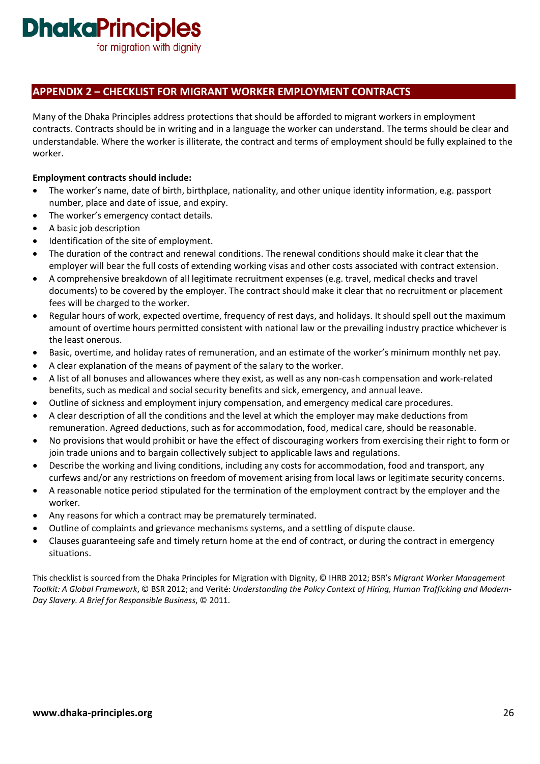for migration with dignity

### **APPENDIX 2 – CHECKLIST FOR MIGRANT WORKER EMPLOYMENT CONTRACTS**

Many of the Dhaka Principles address protections that should be afforded to migrant workers in employment contracts. Contracts should be in writing and in a language the worker can understand. The terms should be clear and understandable. Where the worker is illiterate, the contract and terms of employment should be fully explained to the worker.

#### **Employment contracts should include:**

- The worker's name, date of birth, birthplace, nationality, and other unique identity information, e.g. passport number, place and date of issue, and expiry.
- The worker's emergency contact details.
- A basic job description
- Identification of the site of employment.
- The duration of the contract and renewal conditions. The renewal conditions should make it clear that the employer will bear the full costs of extending working visas and other costs associated with contract extension.
- A comprehensive breakdown of all legitimate recruitment expenses (e.g. travel, medical checks and travel documents) to be covered by the employer. The contract should make it clear that no recruitment or placement fees will be charged to the worker.
- Regular hours of work, expected overtime, frequency of rest days, and holidays. It should spell out the maximum amount of overtime hours permitted consistent with national law or the prevailing industry practice whichever is the least onerous.
- Basic, overtime, and holiday rates of remuneration, and an estimate of the worker's minimum monthly net pay.
- A clear explanation of the means of payment of the salary to the worker.
- A list of all bonuses and allowances where they exist, as well as any non-cash compensation and work-related benefits, such as medical and social security benefits and sick, emergency, and annual leave.
- Outline of sickness and employment injury compensation, and emergency medical care procedures.
- A clear description of all the conditions and the level at which the employer may make deductions from remuneration. Agreed deductions, such as for accommodation, food, medical care, should be reasonable.
- No provisions that would prohibit or have the effect of discouraging workers from exercising their right to form or join trade unions and to bargain collectively subject to applicable laws and regulations.
- Describe the working and living conditions, including any costs for accommodation, food and transport, any curfews and/or any restrictions on freedom of movement arising from local laws or legitimate security concerns.
- A reasonable notice period stipulated for the termination of the employment contract by the employer and the worker.
- Any reasons for which a contract may be prematurely terminated.
- Outline of complaints and grievance mechanisms systems, and a settling of dispute clause.
- Clauses guaranteeing safe and timely return home at the end of contract, or during the contract in emergency situations.

This checklist is sourced from the Dhaka Principles for Migration with Dignity, © IHRB 2012; BSR's *Migrant Worker Management Toolkit: A Global Framework*, © BSR 2012; and Verité: *Understanding the Policy Context of Hiring, Human Trafficking and Modern-Day Slavery. A Brief for Responsible Business*, © 2011.